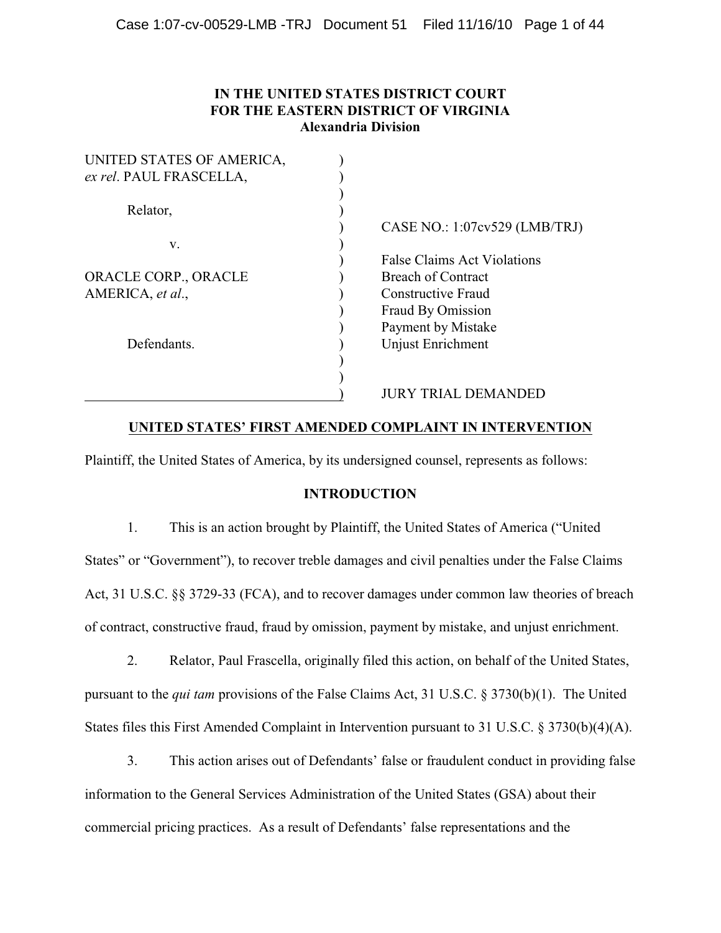# **IN THE UNITED STATES DISTRICT COURT FOR THE EASTERN DISTRICT OF VIRGINIA Alexandria Division**

| UNITED STATES OF AMERICA, |                                 |
|---------------------------|---------------------------------|
| ex rel. PAUL FRASCELLA,   |                                 |
|                           |                                 |
| Relator,                  |                                 |
|                           | CASE NO.: $1:07cv529$ (LMB/TRJ) |
| V.                        |                                 |
|                           | False Claims Act Violations     |
| ORACLE CORP., ORACLE      | <b>Breach of Contract</b>       |
| AMERICA, et al.,          | Constructive Fraud              |
|                           | Fraud By Omission               |
|                           | Payment by Mistake              |
| Defendants.               | Unjust Enrichment               |
|                           |                                 |
|                           |                                 |
|                           | JURY TRIAL DEMANDED             |

# **UNITED STATES' FIRST AMENDED COMPLAINT IN INTERVENTION**

Plaintiff, the United States of America, by its undersigned counsel, represents as follows:

## **INTRODUCTION**

1. This is an action brought by Plaintiff, the United States of America ("United States" or "Government"), to recover treble damages and civil penalties under the False Claims Act, 31 U.S.C. §§ 3729-33 (FCA), and to recover damages under common law theories of breach of contract, constructive fraud, fraud by omission, payment by mistake, and unjust enrichment.

2. Relator, Paul Frascella, originally filed this action, on behalf of the United States, pursuant to the *qui tam* provisions of the False Claims Act, 31 U.S.C. § 3730(b)(1). The United States files this First Amended Complaint in Intervention pursuant to 31 U.S.C. § 3730(b)(4)(A).

3. This action arises out of Defendants' false or fraudulent conduct in providing false information to the General Services Administration of the United States (GSA) about their commercial pricing practices. As a result of Defendants' false representations and the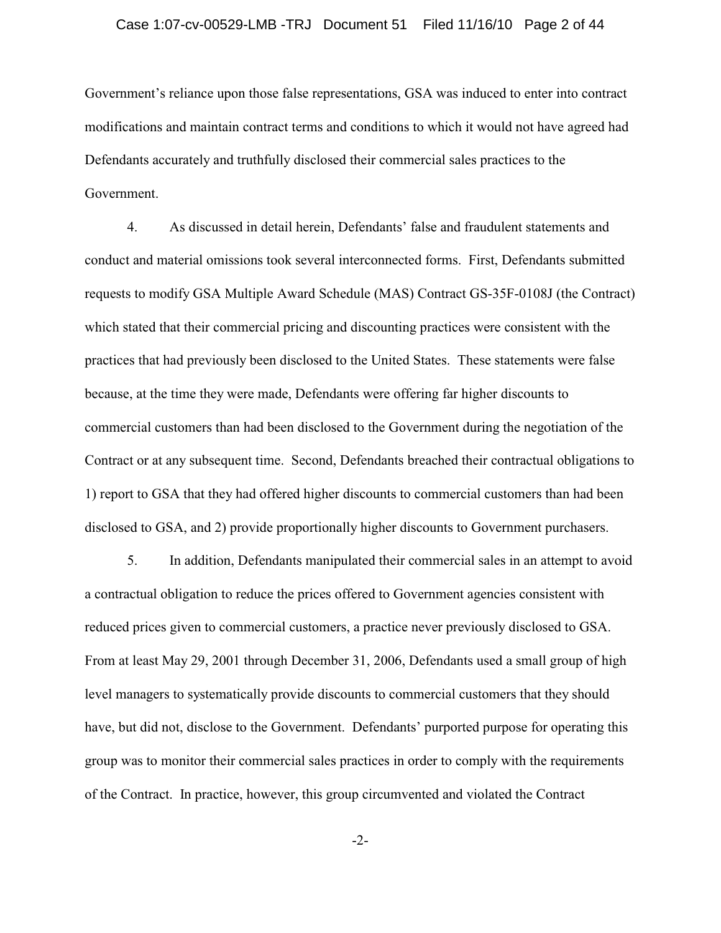### Case 1:07-cv-00529-LMB -TRJ Document 51 Filed 11/16/10 Page 2 of 44

Government's reliance upon those false representations, GSA was induced to enter into contract modifications and maintain contract terms and conditions to which it would not have agreed had Defendants accurately and truthfully disclosed their commercial sales practices to the Government.

4. As discussed in detail herein, Defendants' false and fraudulent statements and conduct and material omissions took several interconnected forms. First, Defendants submitted requests to modify GSA Multiple Award Schedule (MAS) Contract GS-35F-0108J (the Contract) which stated that their commercial pricing and discounting practices were consistent with the practices that had previously been disclosed to the United States. These statements were false because, at the time they were made, Defendants were offering far higher discounts to commercial customers than had been disclosed to the Government during the negotiation of the Contract or at any subsequent time. Second, Defendants breached their contractual obligations to 1) report to GSA that they had offered higher discounts to commercial customers than had been disclosed to GSA, and 2) provide proportionally higher discounts to Government purchasers.

5. In addition, Defendants manipulated their commercial sales in an attempt to avoid a contractual obligation to reduce the prices offered to Government agencies consistent with reduced prices given to commercial customers, a practice never previously disclosed to GSA. From at least May 29, 2001 through December 31, 2006, Defendants used a small group of high level managers to systematically provide discounts to commercial customers that they should have, but did not, disclose to the Government. Defendants' purported purpose for operating this group was to monitor their commercial sales practices in order to comply with the requirements of the Contract. In practice, however, this group circumvented and violated the Contract

-2-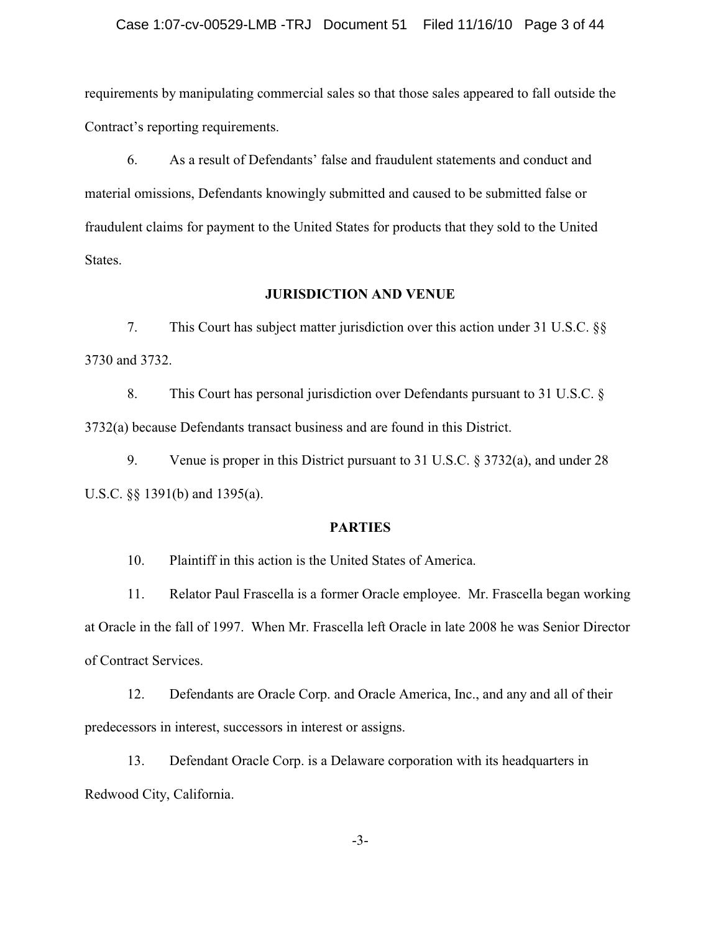requirements by manipulating commercial sales so that those sales appeared to fall outside the Contract's reporting requirements.

6. As a result of Defendants' false and fraudulent statements and conduct and material omissions, Defendants knowingly submitted and caused to be submitted false or fraudulent claims for payment to the United States for products that they sold to the United States.

## **JURISDICTION AND VENUE**

7. This Court has subject matter jurisdiction over this action under 31 U.S.C. §§ 3730 and 3732.

8. This Court has personal jurisdiction over Defendants pursuant to 31 U.S.C. § 3732(a) because Defendants transact business and are found in this District.

9. Venue is proper in this District pursuant to 31 U.S.C. § 3732(a), and under 28 U.S.C. §§ 1391(b) and 1395(a).

## **PARTIES**

10. Plaintiff in this action is the United States of America.

11. Relator Paul Frascella is a former Oracle employee. Mr. Frascella began working at Oracle in the fall of 1997. When Mr. Frascella left Oracle in late 2008 he was Senior Director of Contract Services.

12. Defendants are Oracle Corp. and Oracle America, Inc., and any and all of their predecessors in interest, successors in interest or assigns.

13. Defendant Oracle Corp. is a Delaware corporation with its headquarters in Redwood City, California.

-3-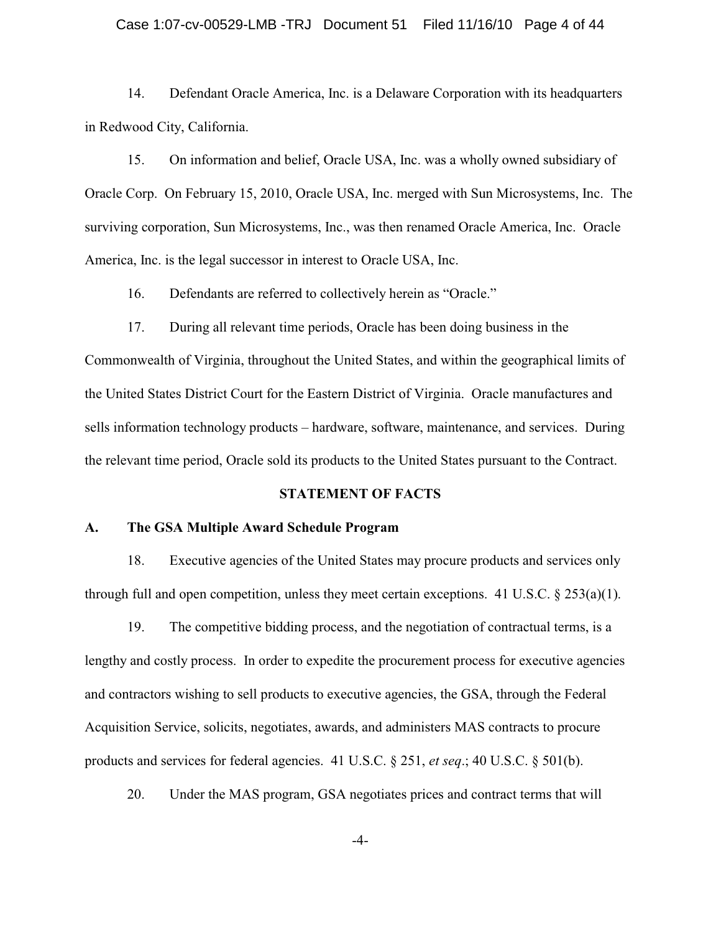#### Case 1:07-cv-00529-LMB -TRJ Document 51 Filed 11/16/10 Page 4 of 44

14. Defendant Oracle America, Inc. is a Delaware Corporation with its headquarters in Redwood City, California.

15. On information and belief, Oracle USA, Inc. was a wholly owned subsidiary of Oracle Corp. On February 15, 2010, Oracle USA, Inc. merged with Sun Microsystems, Inc. The surviving corporation, Sun Microsystems, Inc., was then renamed Oracle America, Inc. Oracle America, Inc. is the legal successor in interest to Oracle USA, Inc.

16. Defendants are referred to collectively herein as "Oracle."

17. During all relevant time periods, Oracle has been doing business in the Commonwealth of Virginia, throughout the United States, and within the geographical limits of the United States District Court for the Eastern District of Virginia. Oracle manufactures and sells information technology products – hardware, software, maintenance, and services. During the relevant time period, Oracle sold its products to the United States pursuant to the Contract.

## **STATEMENT OF FACTS**

## **A. The GSA Multiple Award Schedule Program**

18. Executive agencies of the United States may procure products and services only through full and open competition, unless they meet certain exceptions. 41 U.S.C.  $\S 253(a)(1)$ .

19. The competitive bidding process, and the negotiation of contractual terms, is a lengthy and costly process. In order to expedite the procurement process for executive agencies and contractors wishing to sell products to executive agencies, the GSA, through the Federal Acquisition Service, solicits, negotiates, awards, and administers MAS contracts to procure products and services for federal agencies. 41 U.S.C. § 251, *et seq*.; 40 U.S.C. § 501(b).

20. Under the MAS program, GSA negotiates prices and contract terms that will

-4-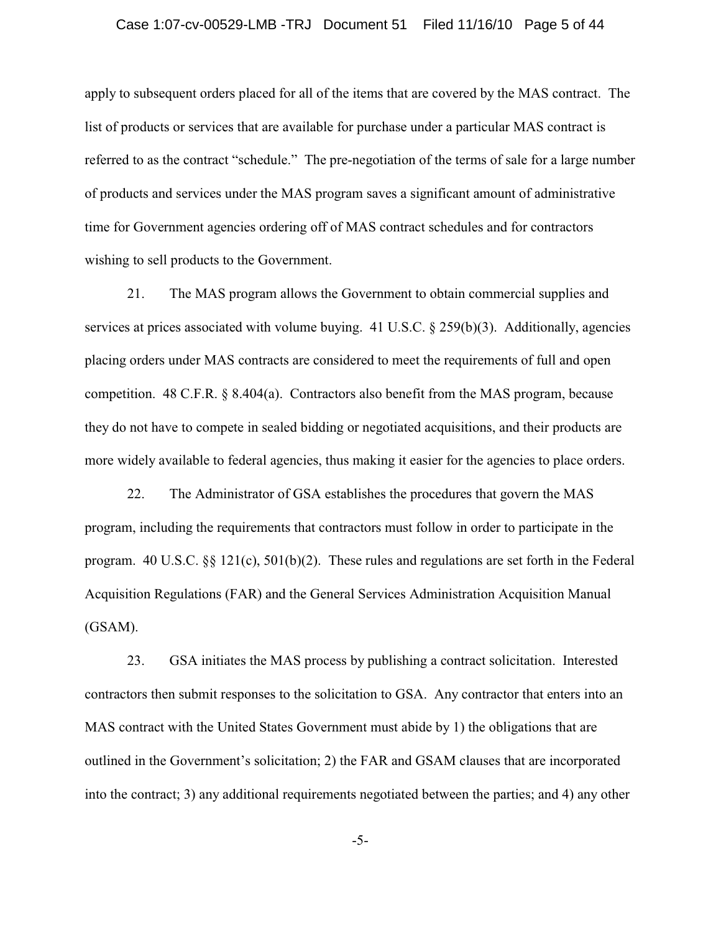### Case 1:07-cv-00529-LMB -TRJ Document 51 Filed 11/16/10 Page 5 of 44

apply to subsequent orders placed for all of the items that are covered by the MAS contract. The list of products or services that are available for purchase under a particular MAS contract is referred to as the contract "schedule." The pre-negotiation of the terms of sale for a large number of products and services under the MAS program saves a significant amount of administrative time for Government agencies ordering off of MAS contract schedules and for contractors wishing to sell products to the Government.

21. The MAS program allows the Government to obtain commercial supplies and services at prices associated with volume buying. 41 U.S.C. § 259(b)(3). Additionally, agencies placing orders under MAS contracts are considered to meet the requirements of full and open competition.  $48 \text{ C.F.R.}$  §  $8.404(a)$ . Contractors also benefit from the MAS program, because they do not have to compete in sealed bidding or negotiated acquisitions, and their products are more widely available to federal agencies, thus making it easier for the agencies to place orders.

22. The Administrator of GSA establishes the procedures that govern the MAS program, including the requirements that contractors must follow in order to participate in the program. 40 U.S.C. §§ 121(c), 501(b)(2). These rules and regulations are set forth in the Federal Acquisition Regulations (FAR) and the General Services Administration Acquisition Manual (GSAM).

23. GSA initiates the MAS process by publishing a contract solicitation. Interested contractors then submit responses to the solicitation to GSA. Any contractor that enters into an MAS contract with the United States Government must abide by 1) the obligations that are outlined in the Government's solicitation; 2) the FAR and GSAM clauses that are incorporated into the contract; 3) any additional requirements negotiated between the parties; and 4) any other

-5-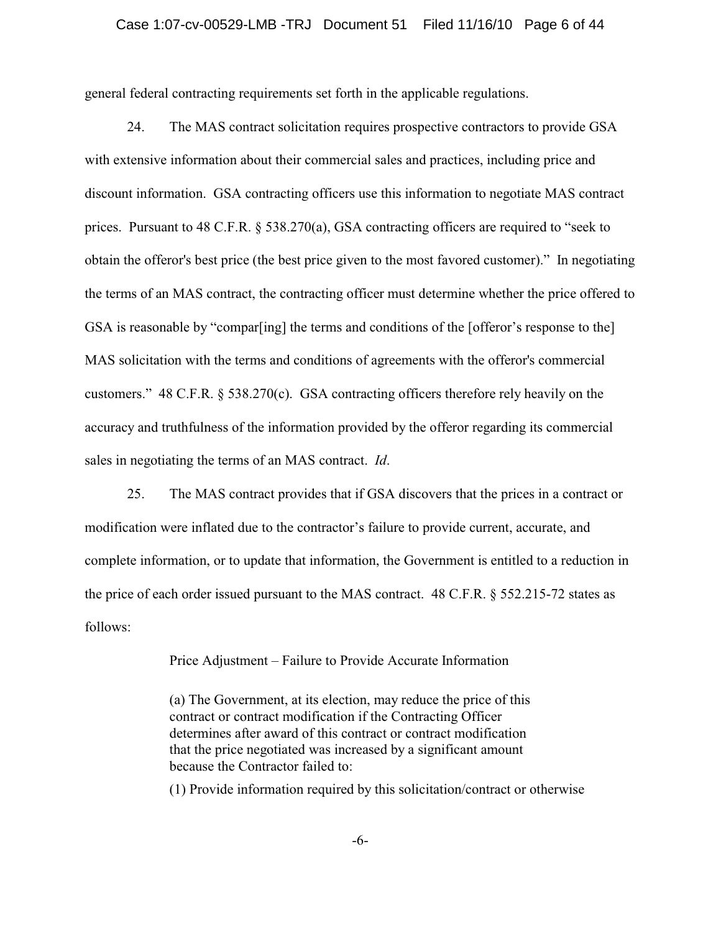### Case 1:07-cv-00529-LMB -TRJ Document 51 Filed 11/16/10 Page 6 of 44

general federal contracting requirements set forth in the applicable regulations.

24. The MAS contract solicitation requires prospective contractors to provide GSA with extensive information about their commercial sales and practices, including price and discount information. GSA contracting officers use this information to negotiate MAS contract prices. Pursuant to 48 C.F.R. § 538.270(a), GSA contracting officers are required to "seek to obtain the offeror's best price (the best price given to the most favored customer)." In negotiating the terms of an MAS contract, the contracting officer must determine whether the price offered to GSA is reasonable by "comparting] the terms and conditions of the [offeror's response to the] MAS solicitation with the terms and conditions of agreements with the offeror's commercial customers." 48 C.F.R. § 538.270(c). GSA contracting officers therefore rely heavily on the accuracy and truthfulness of the information provided by the offeror regarding its commercial sales in negotiating the terms of an MAS contract. *Id*.

25. The MAS contract provides that if GSA discovers that the prices in a contract or modification were inflated due to the contractor's failure to provide current, accurate, and complete information, or to update that information, the Government is entitled to a reduction in the price of each order issued pursuant to the MAS contract. 48 C.F.R. § 552.215-72 states as follows:

Price Adjustment – Failure to Provide Accurate Information

(a) The Government, at its election, may reduce the price of this contract or contract modification if the Contracting Officer determines after award of this contract or contract modification that the price negotiated was increased by a significant amount because the Contractor failed to:

(1) Provide information required by this solicitation/contract or otherwise

-6-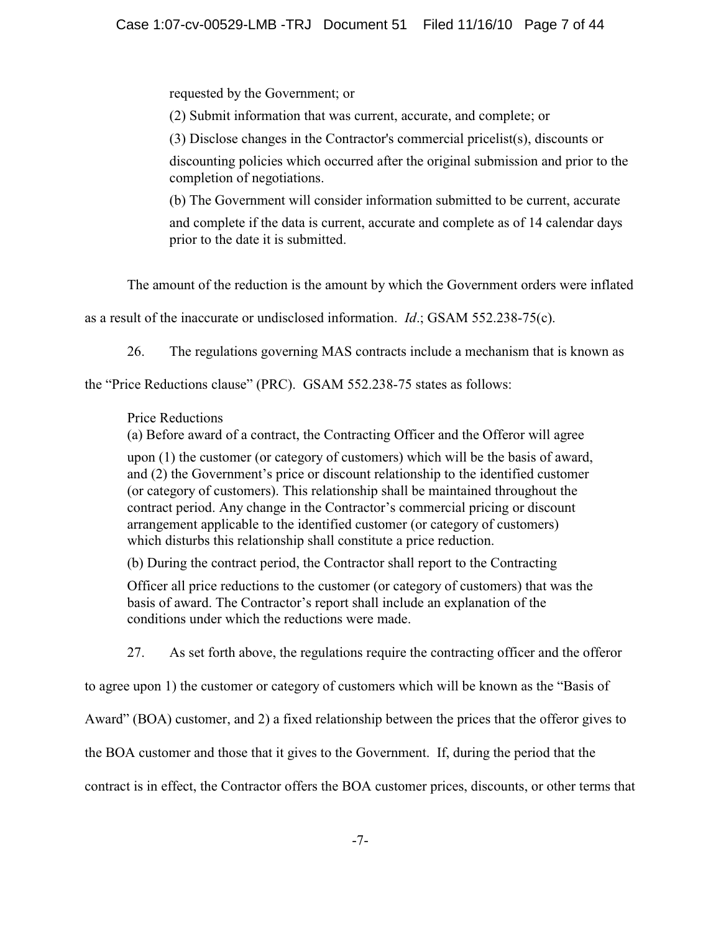requested by the Government; or

(2) Submit information that was current, accurate, and complete; or

(3) Disclose changes in the Contractor's commercial pricelist(s), discounts or

discounting policies which occurred after the original submission and prior to the completion of negotiations.

(b) The Government will consider information submitted to be current, accurate and complete if the data is current, accurate and complete as of 14 calendar days prior to the date it is submitted.

The amount of the reduction is the amount by which the Government orders were inflated

as a result of the inaccurate or undisclosed information. *Id*.; GSAM 552.238-75(c).

26. The regulations governing MAS contracts include a mechanism that is known as

the "Price Reductions clause" (PRC). GSAM 552.238-75 states as follows:

# Price Reductions

(a) Before award of a contract, the Contracting Officer and the Offeror will agree

upon (1) the customer (or category of customers) which will be the basis of award, and (2) the Government's price or discount relationship to the identified customer (or category of customers). This relationship shall be maintained throughout the contract period. Any change in the Contractor's commercial pricing or discount arrangement applicable to the identified customer (or category of customers) which disturbs this relationship shall constitute a price reduction.

(b) During the contract period, the Contractor shall report to the Contracting

Officer all price reductions to the customer (or category of customers) that was the basis of award. The Contractor's report shall include an explanation of the conditions under which the reductions were made.

27. As set forth above, the regulations require the contracting officer and the offeror

to agree upon 1) the customer or category of customers which will be known as the "Basis of

Award" (BOA) customer, and 2) a fixed relationship between the prices that the offeror gives to

the BOA customer and those that it gives to the Government. If, during the period that the

contract is in effect, the Contractor offers the BOA customer prices, discounts, or other terms that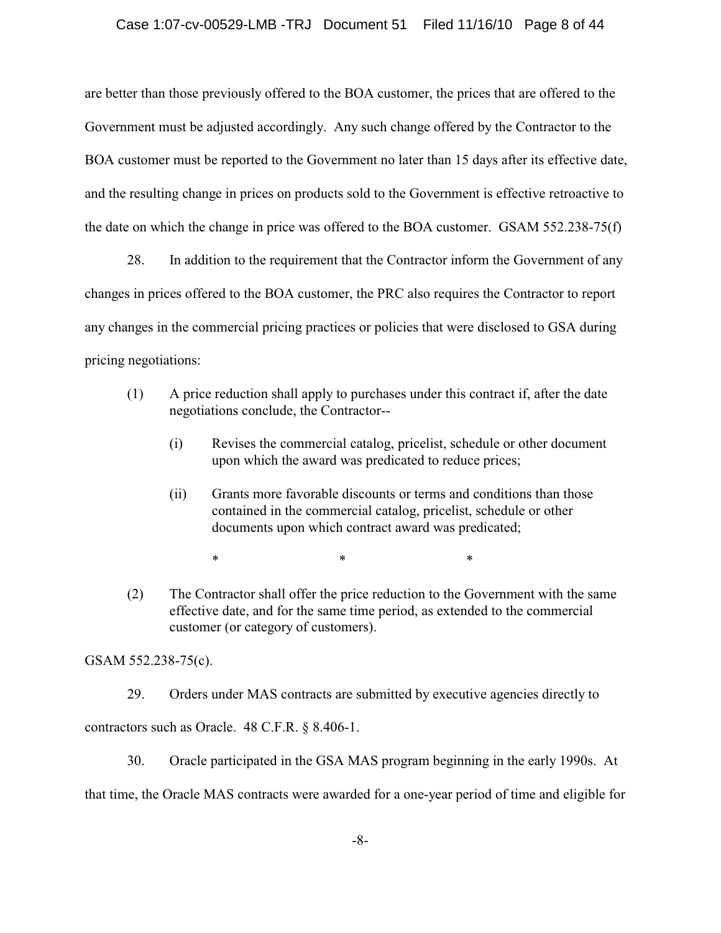are better than those previously offered to the BOA customer, the prices that are offered to the Government must be adjusted accordingly. Any such change offered by the Contractor to the BOA customer must be reported to the Government no later than 15 days after its effective date, and the resulting change in prices on products sold to the Government is effective retroactive to the date on which the change in price was offered to the BOA customer. GSAM 552.238-75(f)

28. In addition to the requirement that the Contractor inform the Government of any changes in prices offered to the BOA customer, the PRC also requires the Contractor to report any changes in the commercial pricing practices or policies that were disclosed to GSA during pricing negotiations:

- (1) A price reduction shall apply to purchases under this contract if, after the date negotiations conclude, the Contractor--
	- (i) Revises the commercial catalog, pricelist, schedule or other document upon which the award was predicated to reduce prices;
	- (ii) Grants more favorable discounts or terms and conditions than those contained in the commercial catalog, pricelist, schedule or other documents upon which contract award was predicated;

 $*$  \*  $*$  \*

(2) The Contractor shall offer the price reduction to the Government with the same effective date, and for the same time period, as extended to the commercial customer (or category of customers).

GSAM 552.238-75(c).

29. Orders under MAS contracts are submitted by executive agencies directly to

contractors such as Oracle. 48 C.F.R. § 8.406-1.

30. Oracle participated in the GSA MAS program beginning in the early 1990s. At

that time, the Oracle MAS contracts were awarded for a one-year period of time and eligible for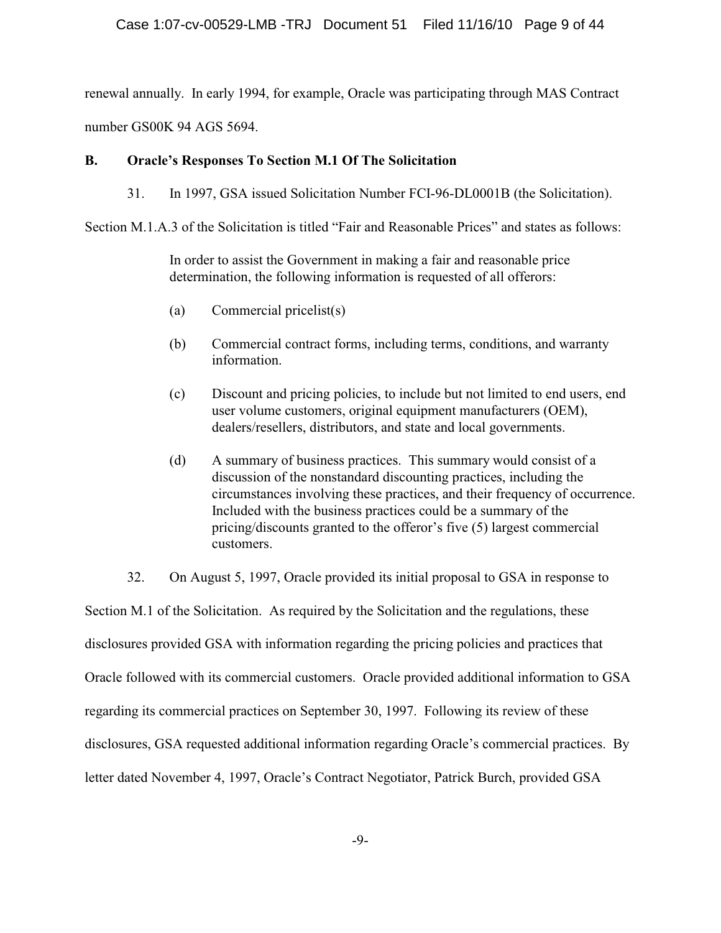renewal annually. In early 1994, for example, Oracle was participating through MAS Contract number GS00K 94 AGS 5694.

## **B. Oracle's Responses To Section M.1 Of The Solicitation**

31. In 1997, GSA issued Solicitation Number FCI-96-DL0001B (the Solicitation).

Section M.1.A.3 of the Solicitation is titled "Fair and Reasonable Prices" and states as follows:

In order to assist the Government in making a fair and reasonable price determination, the following information is requested of all offerors:

- (a) Commercial pricelist(s)
- (b) Commercial contract forms, including terms, conditions, and warranty information.
- (c) Discount and pricing policies, to include but not limited to end users, end user volume customers, original equipment manufacturers (OEM), dealers/resellers, distributors, and state and local governments.
- (d) A summary of business practices. This summary would consist of a discussion of the nonstandard discounting practices, including the circumstances involving these practices, and their frequency of occurrence. Included with the business practices could be a summary of the pricing/discounts granted to the offeror's five (5) largest commercial customers.

32. On August 5, 1997, Oracle provided its initial proposal to GSA in response to Section M.1 of the Solicitation. As required by the Solicitation and the regulations, these disclosures provided GSA with information regarding the pricing policies and practices that Oracle followed with its commercial customers. Oracle provided additional information to GSA regarding its commercial practices on September 30, 1997. Following its review of these disclosures, GSA requested additional information regarding Oracle's commercial practices. By letter dated November 4, 1997, Oracle's Contract Negotiator, Patrick Burch, provided GSA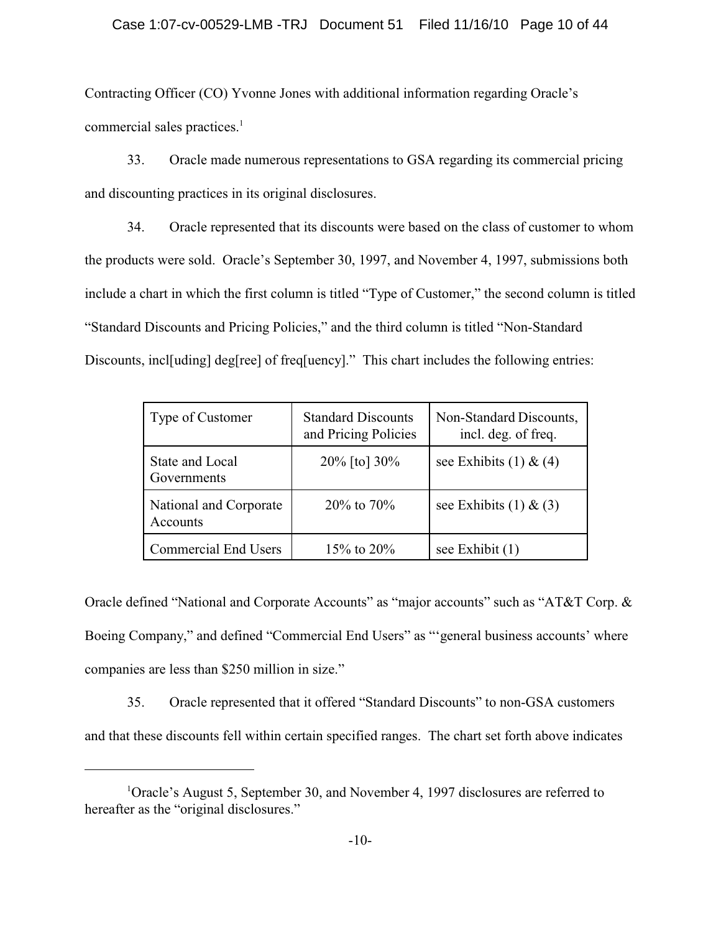Contracting Officer (CO) Yvonne Jones with additional information regarding Oracle's commercial sales practices.<sup>1</sup>

33. Oracle made numerous representations to GSA regarding its commercial pricing and discounting practices in its original disclosures.

34. Oracle represented that its discounts were based on the class of customer to whom the products were sold. Oracle's September 30, 1997, and November 4, 1997, submissions both include a chart in which the first column is titled "Type of Customer," the second column is titled "Standard Discounts and Pricing Policies," and the third column is titled "Non-Standard Discounts, incl[uding] deg[ree] of freq[uency]." This chart includes the following entries:

| Type of Customer                   | <b>Standard Discounts</b><br>and Pricing Policies | Non-Standard Discounts,<br>incl. deg. of freq. |
|------------------------------------|---------------------------------------------------|------------------------------------------------|
| State and Local<br>Governments     | $20\%$ [to] $30\%$                                | see Exhibits $(1)$ & $(4)$                     |
| National and Corporate<br>Accounts | $20\%$ to $70\%$                                  | see Exhibits $(1)$ & $(3)$                     |
| <b>Commercial End Users</b>        | 15\% to 20\%                                      | see Exhibit $(1)$                              |

Oracle defined "National and Corporate Accounts" as "major accounts" such as "AT&T Corp. & Boeing Company," and defined "Commercial End Users" as "'general business accounts' where companies are less than \$250 million in size."

35. Oracle represented that it offered "Standard Discounts" to non-GSA customers and that these discounts fell within certain specified ranges. The chart set forth above indicates

<sup>&</sup>lt;sup>1</sup>Oracle's August 5, September 30, and November 4, 1997 disclosures are referred to hereafter as the "original disclosures."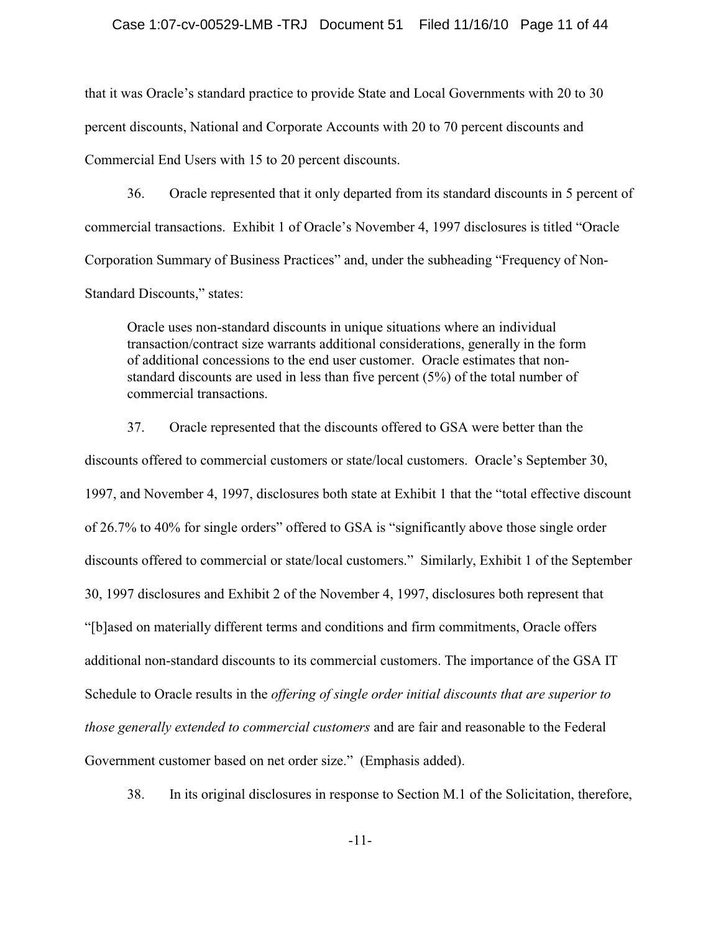#### Case 1:07-cv-00529-LMB -TRJ Document 51 Filed 11/16/10 Page 11 of 44

that it was Oracle's standard practice to provide State and Local Governments with 20 to 30 percent discounts, National and Corporate Accounts with 20 to 70 percent discounts and Commercial End Users with 15 to 20 percent discounts.

36. Oracle represented that it only departed from its standard discounts in 5 percent of commercial transactions. Exhibit 1 of Oracle's November 4, 1997 disclosures is titled "Oracle Corporation Summary of Business Practices" and, under the subheading "Frequency of Non-Standard Discounts," states:

Oracle uses non-standard discounts in unique situations where an individual transaction/contract size warrants additional considerations, generally in the form of additional concessions to the end user customer. Oracle estimates that nonstandard discounts are used in less than five percent (5%) of the total number of commercial transactions.

37. Oracle represented that the discounts offered to GSA were better than the discounts offered to commercial customers or state/local customers. Oracle's September 30, 1997, and November 4, 1997, disclosures both state at Exhibit 1 that the "total effective discount of 26.7% to 40% for single orders" offered to GSA is "significantly above those single order discounts offered to commercial or state/local customers." Similarly, Exhibit 1 of the September 30, 1997 disclosures and Exhibit 2 of the November 4, 1997, disclosures both represent that "[b]ased on materially different terms and conditions and firm commitments, Oracle offers additional non-standard discounts to its commercial customers. The importance of the GSA IT Schedule to Oracle results in the *offering of single order initial discounts that are superior to those generally extended to commercial customers* and are fair and reasonable to the Federal Government customer based on net order size." (Emphasis added).

38. In its original disclosures in response to Section M.1 of the Solicitation, therefore,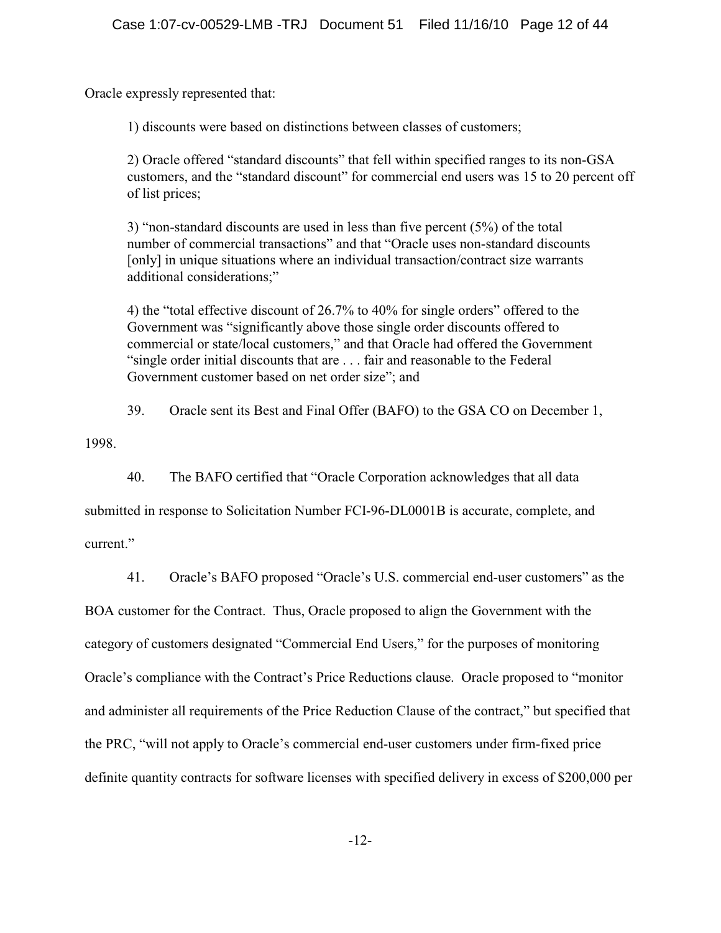Oracle expressly represented that:

1) discounts were based on distinctions between classes of customers;

2) Oracle offered "standard discounts" that fell within specified ranges to its non-GSA customers, and the "standard discount" for commercial end users was 15 to 20 percent off of list prices;

3) "non-standard discounts are used in less than five percent (5%) of the total number of commercial transactions" and that "Oracle uses non-standard discounts [only] in unique situations where an individual transaction/contract size warrants additional considerations;"

4) the "total effective discount of 26.7% to 40% for single orders" offered to the Government was "significantly above those single order discounts offered to commercial or state/local customers," and that Oracle had offered the Government "single order initial discounts that are . . . fair and reasonable to the Federal Government customer based on net order size"; and

39. Oracle sent its Best and Final Offer (BAFO) to the GSA CO on December 1,

1998.

40. The BAFO certified that "Oracle Corporation acknowledges that all data

submitted in response to Solicitation Number FCI-96-DL0001B is accurate, complete, and current."

41. Oracle's BAFO proposed "Oracle's U.S. commercial end-user customers" as the

BOA customer for the Contract. Thus, Oracle proposed to align the Government with the category of customers designated "Commercial End Users," for the purposes of monitoring Oracle's compliance with the Contract's Price Reductions clause. Oracle proposed to "monitor and administer all requirements of the Price Reduction Clause of the contract," but specified that the PRC, "will not apply to Oracle's commercial end-user customers under firm-fixed price definite quantity contracts for software licenses with specified delivery in excess of \$200,000 per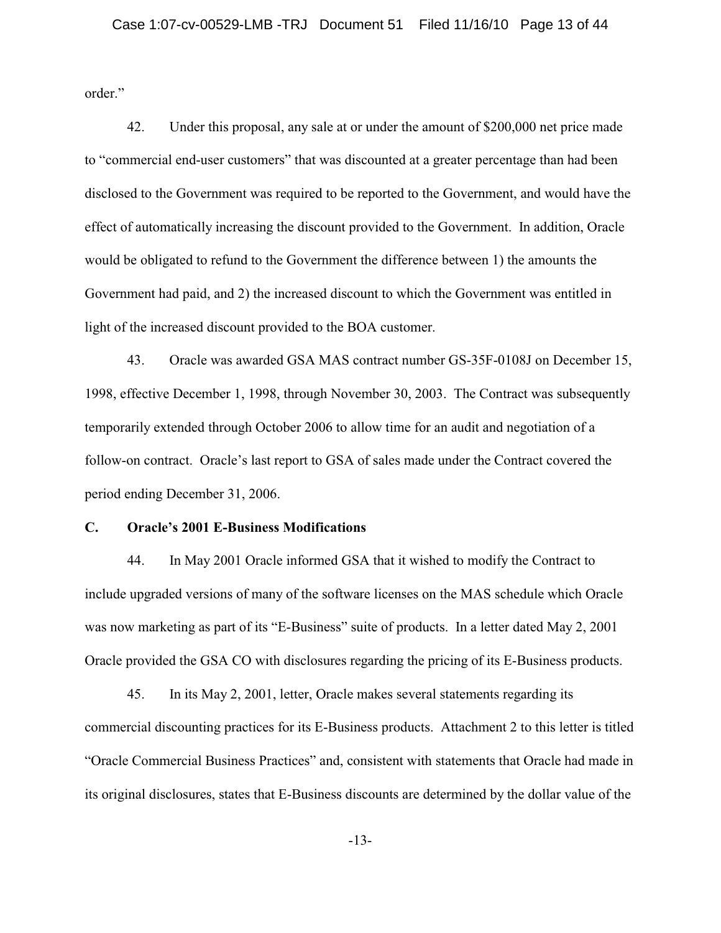order."

42. Under this proposal, any sale at or under the amount of \$200,000 net price made to "commercial end-user customers" that was discounted at a greater percentage than had been disclosed to the Government was required to be reported to the Government, and would have the effect of automatically increasing the discount provided to the Government. In addition, Oracle would be obligated to refund to the Government the difference between 1) the amounts the Government had paid, and 2) the increased discount to which the Government was entitled in light of the increased discount provided to the BOA customer.

43. Oracle was awarded GSA MAS contract number GS-35F-0108J on December 15, 1998, effective December 1, 1998, through November 30, 2003. The Contract was subsequently temporarily extended through October 2006 to allow time for an audit and negotiation of a follow-on contract. Oracle's last report to GSA of sales made under the Contract covered the period ending December 31, 2006.

## **C. Oracle's 2001 E-Business Modifications**

44. In May 2001 Oracle informed GSA that it wished to modify the Contract to include upgraded versions of many of the software licenses on the MAS schedule which Oracle was now marketing as part of its "E-Business" suite of products. In a letter dated May 2, 2001 Oracle provided the GSA CO with disclosures regarding the pricing of its E-Business products.

45. In its May 2, 2001, letter, Oracle makes several statements regarding its commercial discounting practices for its E-Business products. Attachment 2 to this letter is titled "Oracle Commercial Business Practices" and, consistent with statements that Oracle had made in its original disclosures, states that E-Business discounts are determined by the dollar value of the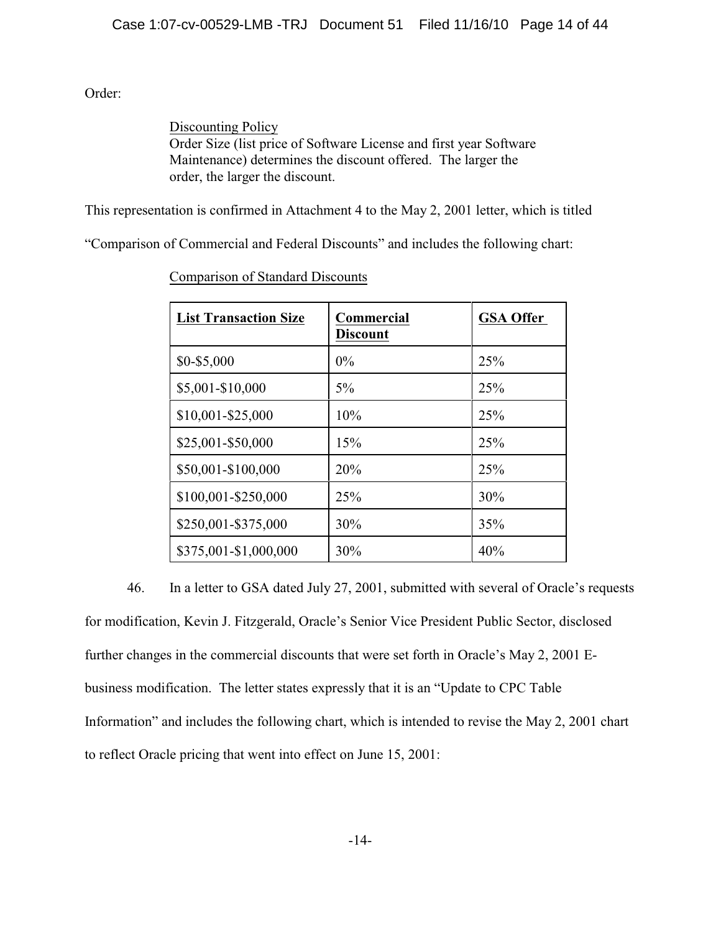Order:

Discounting Policy Order Size (list price of Software License and first year Software Maintenance) determines the discount offered. The larger the order, the larger the discount.

This representation is confirmed in Attachment 4 to the May 2, 2001 letter, which is titled

"Comparison of Commercial and Federal Discounts" and includes the following chart:

| <b>List Transaction Size</b> | <b>Commercial</b><br><b>Discount</b> | <b>GSA Offer</b> |
|------------------------------|--------------------------------------|------------------|
| \$0-\$5,000                  | $0\%$                                | 25%              |
| \$5,001-\$10,000             | $5\%$                                | 25%              |
| \$10,001-\$25,000            | 10%                                  | 25%              |
| \$25,001-\$50,000            | 15%                                  | 25%              |
| \$50,001-\$100,000           | 20%                                  | 25%              |
| \$100,001-\$250,000          | 25%                                  | 30%              |
| \$250,001-\$375,000          | 30%                                  | 35%              |
| \$375,001-\$1,000,000        | 30%                                  | 40%              |

Comparison of Standard Discounts

46. In a letter to GSA dated July 27, 2001, submitted with several of Oracle's requests for modification, Kevin J. Fitzgerald, Oracle's Senior Vice President Public Sector, disclosed further changes in the commercial discounts that were set forth in Oracle's May 2, 2001 Ebusiness modification. The letter states expressly that it is an "Update to CPC Table Information" and includes the following chart, which is intended to revise the May 2, 2001 chart to reflect Oracle pricing that went into effect on June 15, 2001: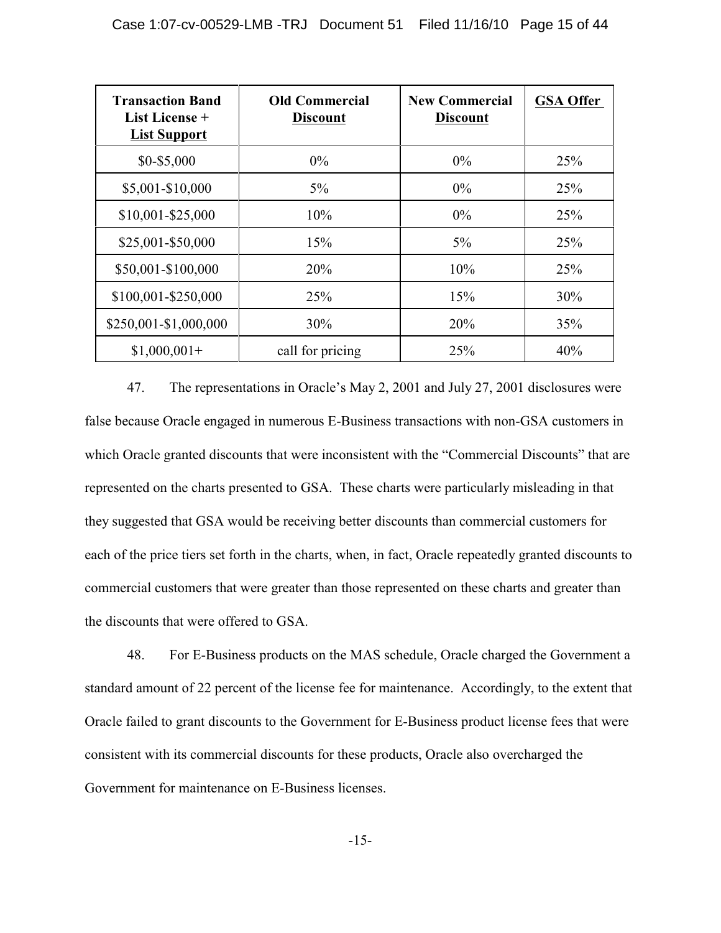| <b>Transaction Band</b><br>List License +<br><b>List Support</b> | <b>Old Commercial</b><br><b>Discount</b> | <b>New Commercial</b><br><b>Discount</b> | <b>GSA Offer</b> |
|------------------------------------------------------------------|------------------------------------------|------------------------------------------|------------------|
| \$0-\$5,000                                                      | $0\%$                                    | $0\%$                                    | 25%              |
| \$5,001-\$10,000                                                 | $5\%$                                    | $0\%$                                    | 25%              |
| $$10,001 - $25,000$                                              | 10%                                      | $0\%$                                    | 25%              |
| \$25,001-\$50,000                                                | 15%                                      | $5\%$                                    | 25%              |
| \$50,001-\$100,000                                               | 20%                                      | 10%                                      | 25%              |
| \$100,001-\$250,000                                              | 25%                                      | 15%                                      | 30%              |
| \$250,001-\$1,000,000                                            | 30%                                      | 20%                                      | 35%              |
| $$1,000,001+$                                                    | call for pricing                         | 25%                                      | 40%              |

47. The representations in Oracle's May 2, 2001 and July 27, 2001 disclosures were false because Oracle engaged in numerous E-Business transactions with non-GSA customers in which Oracle granted discounts that were inconsistent with the "Commercial Discounts" that are represented on the charts presented to GSA. These charts were particularly misleading in that they suggested that GSA would be receiving better discounts than commercial customers for each of the price tiers set forth in the charts, when, in fact, Oracle repeatedly granted discounts to commercial customers that were greater than those represented on these charts and greater than the discounts that were offered to GSA.

48. For E-Business products on the MAS schedule, Oracle charged the Government a standard amount of 22 percent of the license fee for maintenance. Accordingly, to the extent that Oracle failed to grant discounts to the Government for E-Business product license fees that were consistent with its commercial discounts for these products, Oracle also overcharged the Government for maintenance on E-Business licenses.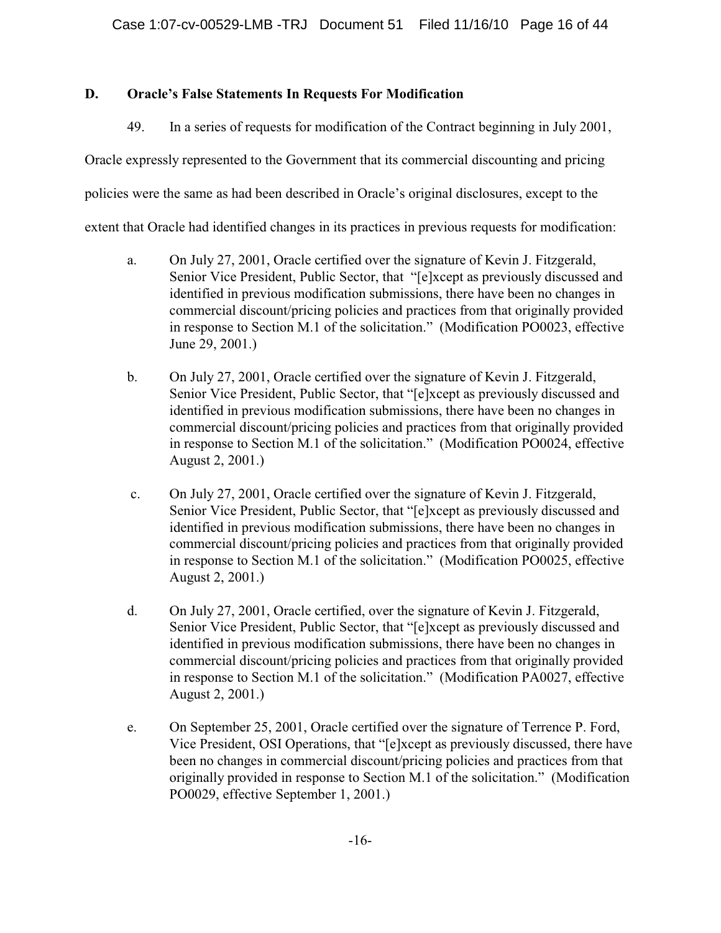# **D. Oracle's False Statements In Requests For Modification**

49. In a series of requests for modification of the Contract beginning in July 2001,

Oracle expressly represented to the Government that its commercial discounting and pricing

policies were the same as had been described in Oracle's original disclosures, except to the

extent that Oracle had identified changes in its practices in previous requests for modification:

- a. On July 27, 2001, Oracle certified over the signature of Kevin J. Fitzgerald, Senior Vice President, Public Sector, that "[e]xcept as previously discussed and identified in previous modification submissions, there have been no changes in commercial discount/pricing policies and practices from that originally provided in response to Section M.1 of the solicitation." (Modification PO0023, effective June 29, 2001.)
- b. On July 27, 2001, Oracle certified over the signature of Kevin J. Fitzgerald, Senior Vice President, Public Sector, that "[e]xcept as previously discussed and identified in previous modification submissions, there have been no changes in commercial discount/pricing policies and practices from that originally provided in response to Section M.1 of the solicitation." (Modification PO0024, effective August 2, 2001.)
- c. On July 27, 2001, Oracle certified over the signature of Kevin J. Fitzgerald, Senior Vice President, Public Sector, that "[e]xcept as previously discussed and identified in previous modification submissions, there have been no changes in commercial discount/pricing policies and practices from that originally provided in response to Section M.1 of the solicitation." (Modification PO0025, effective August 2, 2001.)
- d. On July 27, 2001, Oracle certified, over the signature of Kevin J. Fitzgerald, Senior Vice President, Public Sector, that "[e]xcept as previously discussed and identified in previous modification submissions, there have been no changes in commercial discount/pricing policies and practices from that originally provided in response to Section M.1 of the solicitation." (Modification PA0027, effective August 2, 2001.)
- e. On September 25, 2001, Oracle certified over the signature of Terrence P. Ford, Vice President, OSI Operations, that "[e]xcept as previously discussed, there have been no changes in commercial discount/pricing policies and practices from that originally provided in response to Section M.1 of the solicitation." (Modification PO0029, effective September 1, 2001.)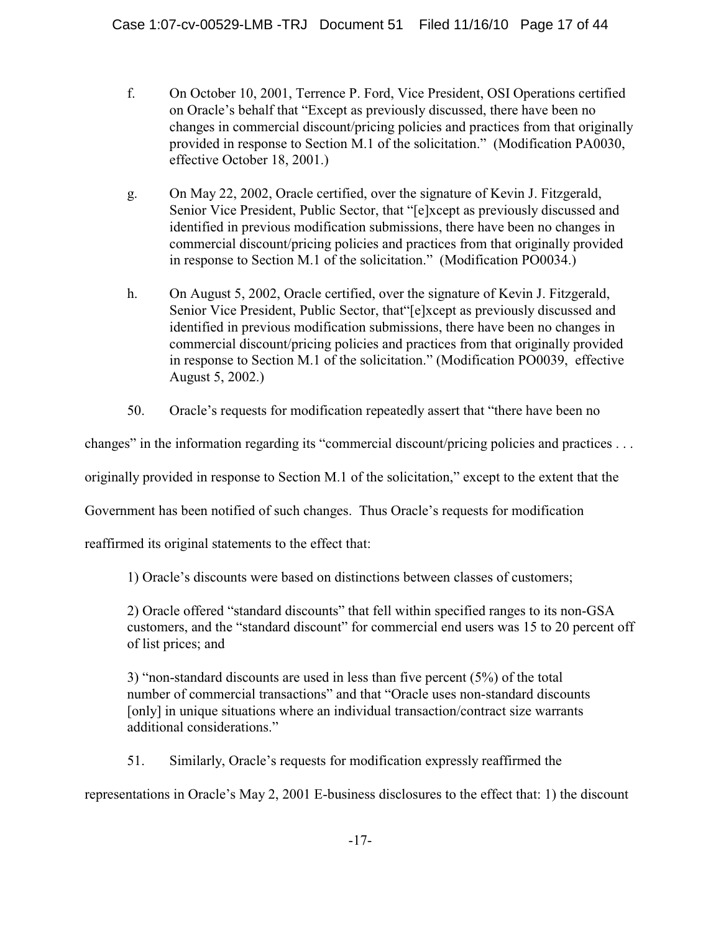- f. On October 10, 2001, Terrence P. Ford, Vice President, OSI Operations certified on Oracle's behalf that "Except as previously discussed, there have been no changes in commercial discount/pricing policies and practices from that originally provided in response to Section M.1 of the solicitation." (Modification PA0030, effective October 18, 2001.)
- g. On May 22, 2002, Oracle certified, over the signature of Kevin J. Fitzgerald, Senior Vice President, Public Sector, that "[e]xcept as previously discussed and identified in previous modification submissions, there have been no changes in commercial discount/pricing policies and practices from that originally provided in response to Section M.1 of the solicitation." (Modification PO0034.)
- h. On August 5, 2002, Oracle certified, over the signature of Kevin J. Fitzgerald, Senior Vice President, Public Sector, that"[e]xcept as previously discussed and identified in previous modification submissions, there have been no changes in commercial discount/pricing policies and practices from that originally provided in response to Section M.1 of the solicitation." (Modification PO0039, effective August 5, 2002.)
- 50. Oracle's requests for modification repeatedly assert that "there have been no

changes" in the information regarding its "commercial discount/pricing policies and practices . . .

originally provided in response to Section M.1 of the solicitation," except to the extent that the

Government has been notified of such changes. Thus Oracle's requests for modification

reaffirmed its original statements to the effect that:

1) Oracle's discounts were based on distinctions between classes of customers;

2) Oracle offered "standard discounts" that fell within specified ranges to its non-GSA customers, and the "standard discount" for commercial end users was 15 to 20 percent off of list prices; and

3) "non-standard discounts are used in less than five percent (5%) of the total number of commercial transactions" and that "Oracle uses non-standard discounts [only] in unique situations where an individual transaction/contract size warrants additional considerations."

51. Similarly, Oracle's requests for modification expressly reaffirmed the

representations in Oracle's May 2, 2001 E-business disclosures to the effect that: 1) the discount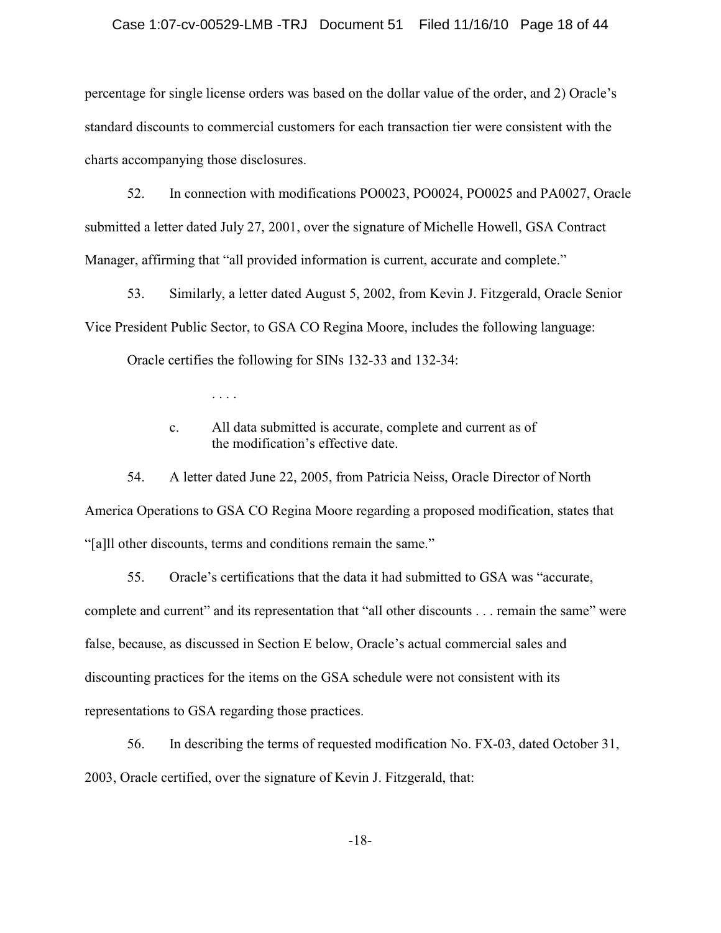### Case 1:07-cv-00529-LMB -TRJ Document 51 Filed 11/16/10 Page 18 of 44

percentage for single license orders was based on the dollar value of the order, and 2) Oracle's standard discounts to commercial customers for each transaction tier were consistent with the charts accompanying those disclosures.

52. In connection with modifications PO0023, PO0024, PO0025 and PA0027, Oracle submitted a letter dated July 27, 2001, over the signature of Michelle Howell, GSA Contract Manager, affirming that "all provided information is current, accurate and complete."

53. Similarly, a letter dated August 5, 2002, from Kevin J. Fitzgerald, Oracle Senior Vice President Public Sector, to GSA CO Regina Moore, includes the following language:

Oracle certifies the following for SINs 132-33 and 132-34:

. . . .

c. All data submitted is accurate, complete and current as of the modification's effective date.

54. A letter dated June 22, 2005, from Patricia Neiss, Oracle Director of North America Operations to GSA CO Regina Moore regarding a proposed modification, states that "[a]ll other discounts, terms and conditions remain the same."

55. Oracle's certifications that the data it had submitted to GSA was "accurate, complete and current" and its representation that "all other discounts . . . remain the same" were false, because, as discussed in Section E below, Oracle's actual commercial sales and discounting practices for the items on the GSA schedule were not consistent with its representations to GSA regarding those practices.

56. In describing the terms of requested modification No. FX-03, dated October 31, 2003, Oracle certified, over the signature of Kevin J. Fitzgerald, that: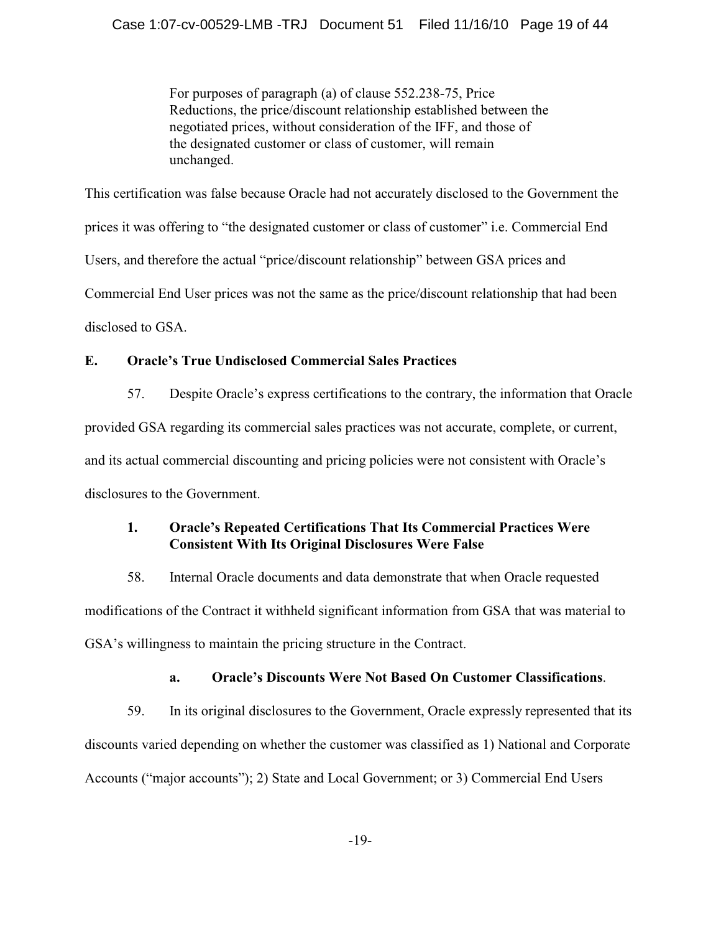For purposes of paragraph (a) of clause 552.238-75, Price Reductions, the price/discount relationship established between the negotiated prices, without consideration of the IFF, and those of the designated customer or class of customer, will remain unchanged.

This certification was false because Oracle had not accurately disclosed to the Government the prices it was offering to "the designated customer or class of customer" i.e. Commercial End Users, and therefore the actual "price/discount relationship" between GSA prices and Commercial End User prices was not the same as the price/discount relationship that had been disclosed to GSA.

# **E. Oracle's True Undisclosed Commercial Sales Practices**

57. Despite Oracle's express certifications to the contrary, the information that Oracle provided GSA regarding its commercial sales practices was not accurate, complete, or current, and its actual commercial discounting and pricing policies were not consistent with Oracle's disclosures to the Government.

# **1. Oracle's Repeated Certifications That Its Commercial Practices Were Consistent With Its Original Disclosures Were False**

58. Internal Oracle documents and data demonstrate that when Oracle requested modifications of the Contract it withheld significant information from GSA that was material to GSA's willingness to maintain the pricing structure in the Contract.

# **a. Oracle's Discounts Were Not Based On Customer Classifications**.

59. In its original disclosures to the Government, Oracle expressly represented that its discounts varied depending on whether the customer was classified as 1) National and Corporate Accounts ("major accounts"); 2) State and Local Government; or 3) Commercial End Users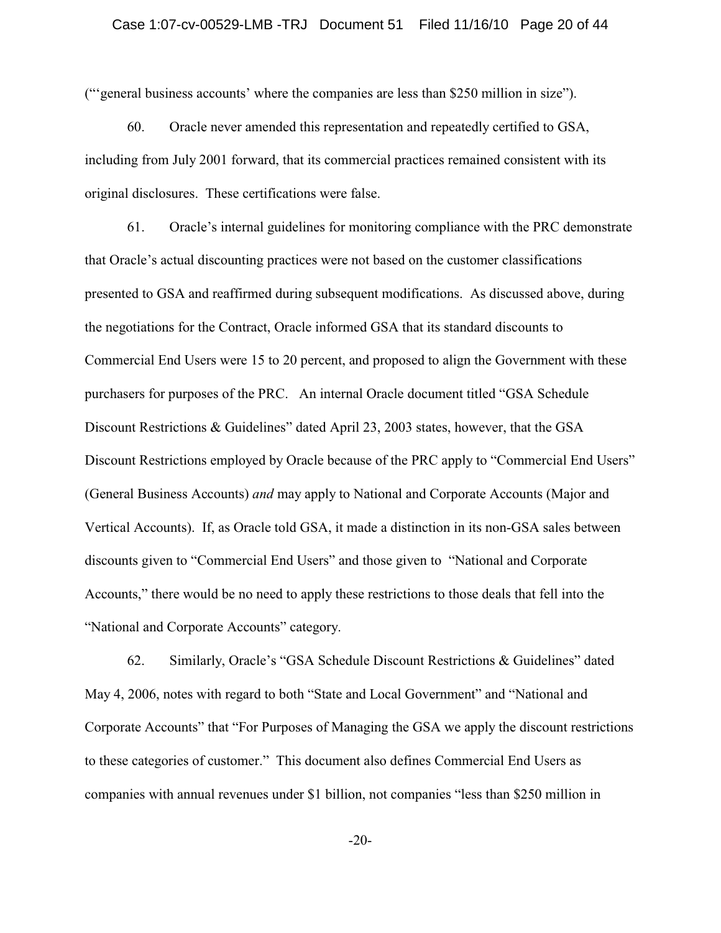("'general business accounts' where the companies are less than \$250 million in size").

60. Oracle never amended this representation and repeatedly certified to GSA, including from July 2001 forward, that its commercial practices remained consistent with its original disclosures. These certifications were false.

61. Oracle's internal guidelines for monitoring compliance with the PRC demonstrate that Oracle's actual discounting practices were not based on the customer classifications presented to GSA and reaffirmed during subsequent modifications. As discussed above, during the negotiations for the Contract, Oracle informed GSA that its standard discounts to Commercial End Users were 15 to 20 percent, and proposed to align the Government with these purchasers for purposes of the PRC. An internal Oracle document titled "GSA Schedule Discount Restrictions & Guidelines" dated April 23, 2003 states, however, that the GSA Discount Restrictions employed by Oracle because of the PRC apply to "Commercial End Users" (General Business Accounts) *and* may apply to National and Corporate Accounts (Major and Vertical Accounts). If, as Oracle told GSA, it made a distinction in its non-GSA sales between discounts given to "Commercial End Users" and those given to "National and Corporate Accounts," there would be no need to apply these restrictions to those deals that fell into the "National and Corporate Accounts" category.

62. Similarly, Oracle's "GSA Schedule Discount Restrictions & Guidelines" dated May 4, 2006, notes with regard to both "State and Local Government" and "National and Corporate Accounts" that "For Purposes of Managing the GSA we apply the discount restrictions to these categories of customer." This document also defines Commercial End Users as companies with annual revenues under \$1 billion, not companies "less than \$250 million in

-20-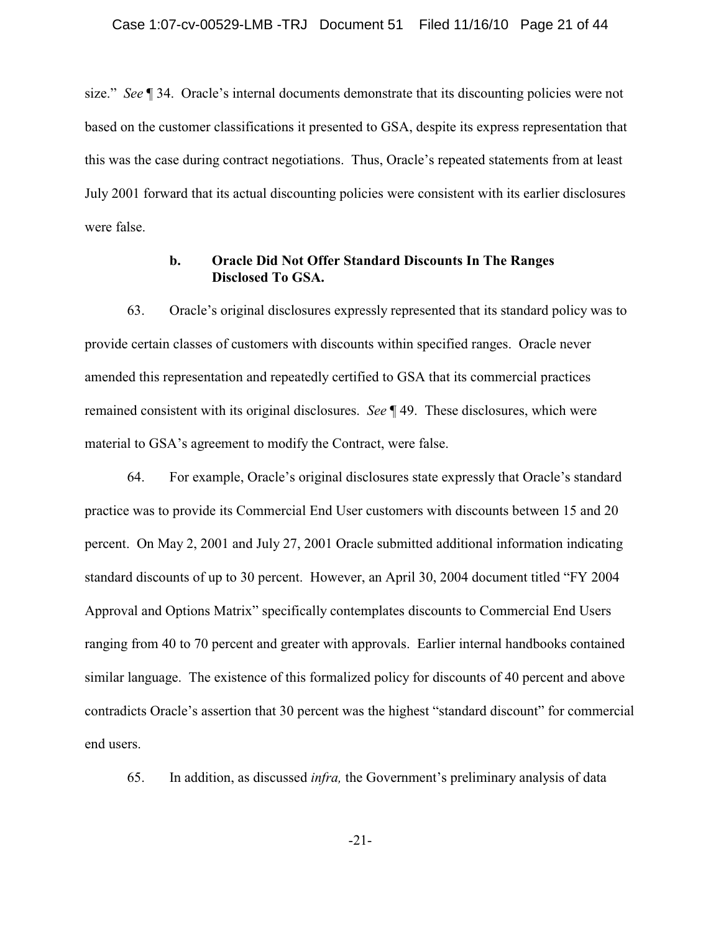size." *See* ¶ 34. Oracle's internal documents demonstrate that its discounting policies were not based on the customer classifications it presented to GSA, despite its express representation that this was the case during contract negotiations. Thus, Oracle's repeated statements from at least July 2001 forward that its actual discounting policies were consistent with its earlier disclosures were false.

# **b. Oracle Did Not Offer Standard Discounts In The Ranges Disclosed To GSA.**

63. Oracle's original disclosures expressly represented that its standard policy was to provide certain classes of customers with discounts within specified ranges. Oracle never amended this representation and repeatedly certified to GSA that its commercial practices remained consistent with its original disclosures. *See* ¶ 49. These disclosures, which were material to GSA's agreement to modify the Contract, were false.

64. For example, Oracle's original disclosures state expressly that Oracle's standard practice was to provide its Commercial End User customers with discounts between 15 and 20 percent. On May 2, 2001 and July 27, 2001 Oracle submitted additional information indicating standard discounts of up to 30 percent. However, an April 30, 2004 document titled "FY 2004 Approval and Options Matrix" specifically contemplates discounts to Commercial End Users ranging from 40 to 70 percent and greater with approvals. Earlier internal handbooks contained similar language. The existence of this formalized policy for discounts of 40 percent and above contradicts Oracle's assertion that 30 percent was the highest "standard discount" for commercial end users.

65. In addition, as discussed *infra,* the Government's preliminary analysis of data

-21-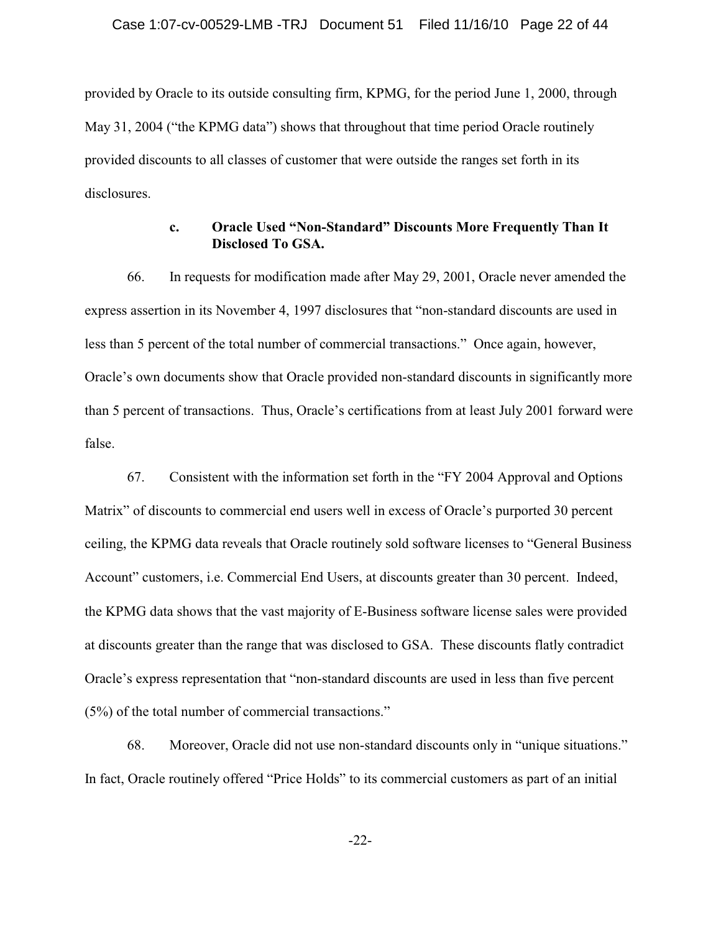provided by Oracle to its outside consulting firm, KPMG, for the period June 1, 2000, through May 31, 2004 ("the KPMG data") shows that throughout that time period Oracle routinely provided discounts to all classes of customer that were outside the ranges set forth in its disclosures.

# **c. Oracle Used "Non-Standard" Discounts More Frequently Than It Disclosed To GSA.**

66. In requests for modification made after May 29, 2001, Oracle never amended the express assertion in its November 4, 1997 disclosures that "non-standard discounts are used in less than 5 percent of the total number of commercial transactions." Once again, however, Oracle's own documents show that Oracle provided non-standard discounts in significantly more than 5 percent of transactions. Thus, Oracle's certifications from at least July 2001 forward were false.

67. Consistent with the information set forth in the "FY 2004 Approval and Options Matrix" of discounts to commercial end users well in excess of Oracle's purported 30 percent ceiling, the KPMG data reveals that Oracle routinely sold software licenses to "General Business Account" customers, i.e. Commercial End Users, at discounts greater than 30 percent. Indeed, the KPMG data shows that the vast majority of E-Business software license sales were provided at discounts greater than the range that was disclosed to GSA. These discounts flatly contradict Oracle's express representation that "non-standard discounts are used in less than five percent (5%) of the total number of commercial transactions."

68. Moreover, Oracle did not use non-standard discounts only in "unique situations." In fact, Oracle routinely offered "Price Holds" to its commercial customers as part of an initial

-22-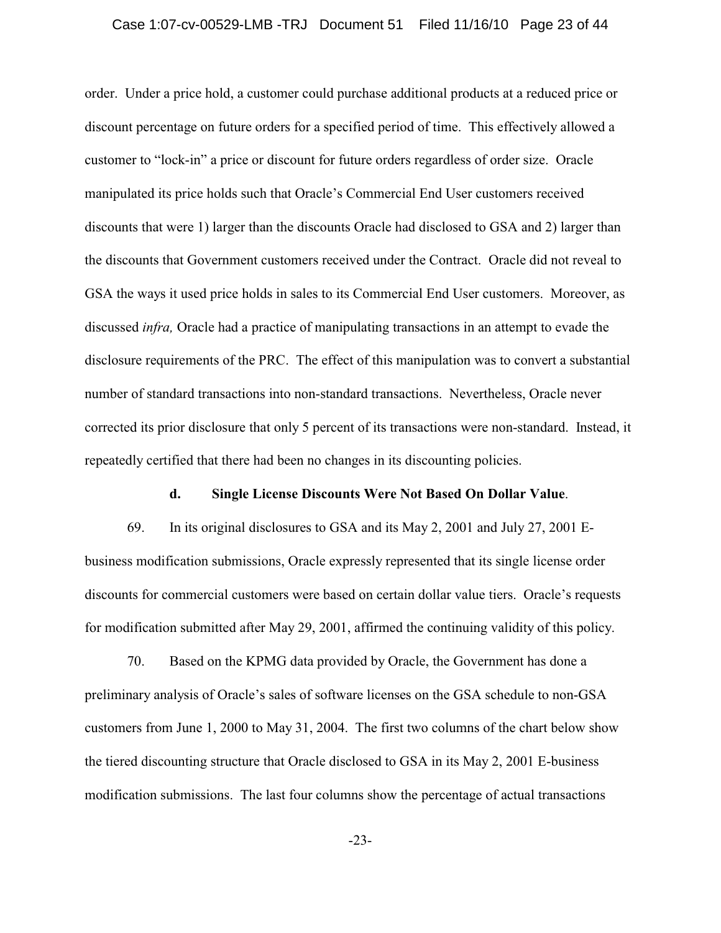### Case 1:07-cv-00529-LMB -TRJ Document 51 Filed 11/16/10 Page 23 of 44

order. Under a price hold, a customer could purchase additional products at a reduced price or discount percentage on future orders for a specified period of time. This effectively allowed a customer to "lock-in" a price or discount for future orders regardless of order size. Oracle manipulated its price holds such that Oracle's Commercial End User customers received discounts that were 1) larger than the discounts Oracle had disclosed to GSA and 2) larger than the discounts that Government customers received under the Contract. Oracle did not reveal to GSA the ways it used price holds in sales to its Commercial End User customers. Moreover, as discussed *infra,* Oracle had a practice of manipulating transactions in an attempt to evade the disclosure requirements of the PRC. The effect of this manipulation was to convert a substantial number of standard transactions into non-standard transactions. Nevertheless, Oracle never corrected its prior disclosure that only 5 percent of its transactions were non-standard. Instead, it repeatedly certified that there had been no changes in its discounting policies.

#### **d. Single License Discounts Were Not Based On Dollar Value**.

69. In its original disclosures to GSA and its May 2, 2001 and July 27, 2001 Ebusiness modification submissions, Oracle expressly represented that its single license order discounts for commercial customers were based on certain dollar value tiers. Oracle's requests for modification submitted after May 29, 2001, affirmed the continuing validity of this policy.

70. Based on the KPMG data provided by Oracle, the Government has done a preliminary analysis of Oracle's sales of software licenses on the GSA schedule to non-GSA customers from June 1, 2000 to May 31, 2004. The first two columns of the chart below show the tiered discounting structure that Oracle disclosed to GSA in its May 2, 2001 E-business modification submissions. The last four columns show the percentage of actual transactions

-23-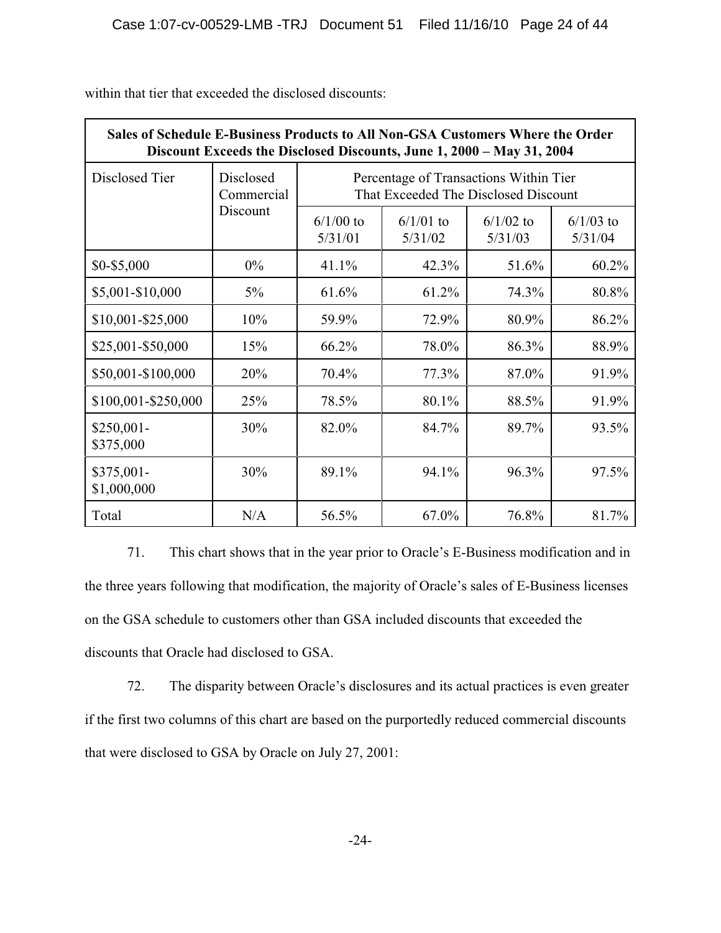| Sales of Schedule E-Business Products to All Non-GSA Customers Where the Order<br>Discount Exceeds the Disclosed Discounts, June 1, 2000 - May 31, 2004 |                         |                                                                                |                        |                        |                        |  |  |  |  |  |
|---------------------------------------------------------------------------------------------------------------------------------------------------------|-------------------------|--------------------------------------------------------------------------------|------------------------|------------------------|------------------------|--|--|--|--|--|
| Disclosed Tier                                                                                                                                          | Disclosed<br>Commercial | Percentage of Transactions Within Tier<br>That Exceeded The Disclosed Discount |                        |                        |                        |  |  |  |  |  |
|                                                                                                                                                         | Discount                | $6/1/00$ to<br>5/31/01                                                         | $6/1/01$ to<br>5/31/02 | $6/1/02$ to<br>5/31/03 | $6/1/03$ to<br>5/31/04 |  |  |  |  |  |
| \$0-\$5,000                                                                                                                                             | $0\%$                   | 41.1%                                                                          | 42.3%                  | 51.6%                  | 60.2%                  |  |  |  |  |  |
| \$5,001-\$10,000                                                                                                                                        | $5\%$                   | 61.6%                                                                          | 61.2%                  | 74.3%                  | 80.8%                  |  |  |  |  |  |
| \$10,001-\$25,000                                                                                                                                       | 10%                     | 59.9%                                                                          | 72.9%                  | 80.9%                  | 86.2%                  |  |  |  |  |  |
| \$25,001-\$50,000                                                                                                                                       | 15%                     | 66.2%                                                                          | 78.0%                  | 86.3%                  | 88.9%                  |  |  |  |  |  |
| \$50,001-\$100,000                                                                                                                                      | 20%                     | 70.4%                                                                          | 77.3%                  | 87.0%                  | 91.9%                  |  |  |  |  |  |
| \$100,001-\$250,000                                                                                                                                     | 25%                     | 78.5%                                                                          | 80.1%                  | 88.5%                  | 91.9%                  |  |  |  |  |  |
| \$250,001-<br>\$375,000                                                                                                                                 | 30%                     | 82.0%                                                                          | 84.7%                  | 89.7%                  | 93.5%                  |  |  |  |  |  |
| \$375,001-<br>\$1,000,000                                                                                                                               | 30%                     | 89.1%                                                                          | 94.1%                  | 96.3%                  | 97.5%                  |  |  |  |  |  |
| Total                                                                                                                                                   | N/A                     | 56.5%                                                                          | 67.0%                  | 76.8%                  | 81.7%                  |  |  |  |  |  |

within that tier that exceeded the disclosed discounts:

71. This chart shows that in the year prior to Oracle's E-Business modification and in the three years following that modification, the majority of Oracle's sales of E-Business licenses on the GSA schedule to customers other than GSA included discounts that exceeded the discounts that Oracle had disclosed to GSA.

72. The disparity between Oracle's disclosures and its actual practices is even greater if the first two columns of this chart are based on the purportedly reduced commercial discounts that were disclosed to GSA by Oracle on July 27, 2001: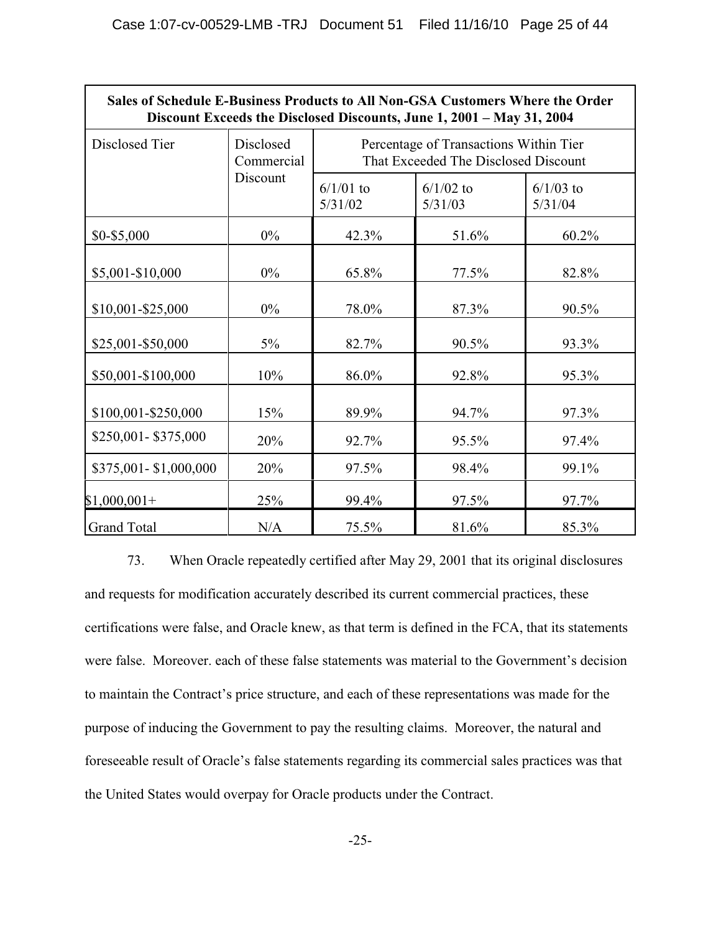| Sales of Schedule E-Business Products to All Non-GSA Customers Where the Order<br>Discount Exceeds the Disclosed Discounts, June 1, 2001 - May 31, 2004 |                         |                                                                                |                        |                        |  |  |  |  |  |  |
|---------------------------------------------------------------------------------------------------------------------------------------------------------|-------------------------|--------------------------------------------------------------------------------|------------------------|------------------------|--|--|--|--|--|--|
| Disclosed Tier                                                                                                                                          | Disclosed<br>Commercial | Percentage of Transactions Within Tier<br>That Exceeded The Disclosed Discount |                        |                        |  |  |  |  |  |  |
|                                                                                                                                                         | Discount                | $6/1/01$ to<br>5/31/02                                                         | $6/1/02$ to<br>5/31/03 | $6/1/03$ to<br>5/31/04 |  |  |  |  |  |  |
| \$0-\$5,000                                                                                                                                             | $0\%$                   | 42.3%                                                                          | 51.6%                  | 60.2%                  |  |  |  |  |  |  |
| \$5,001-\$10,000                                                                                                                                        | $0\%$                   | 65.8%                                                                          | 77.5%                  | 82.8%                  |  |  |  |  |  |  |
| \$10,001-\$25,000                                                                                                                                       | $0\%$                   | 78.0%                                                                          | 87.3%                  | 90.5%                  |  |  |  |  |  |  |
| \$25,001-\$50,000                                                                                                                                       | $5\%$                   | 82.7%                                                                          | 90.5%                  | 93.3%                  |  |  |  |  |  |  |
| \$50,001-\$100,000                                                                                                                                      | 10%                     | 86.0%                                                                          | 92.8%                  | 95.3%                  |  |  |  |  |  |  |
| \$100,001-\$250,000                                                                                                                                     | 15%                     | 89.9%                                                                          | 94.7%                  | 97.3%                  |  |  |  |  |  |  |
| \$250,001-\$375,000                                                                                                                                     | 20%                     | 92.7%                                                                          | 95.5%                  | 97.4%                  |  |  |  |  |  |  |
| \$375,001-\$1,000,000                                                                                                                                   | 20%                     | 97.5%                                                                          | 98.4%                  | 99.1%                  |  |  |  |  |  |  |
| $$1,000,001+$                                                                                                                                           | 25%                     | 99.4%                                                                          | 97.5%                  | 97.7%                  |  |  |  |  |  |  |
| <b>Grand Total</b>                                                                                                                                      | N/A                     | 75.5%                                                                          | 81.6%                  | 85.3%                  |  |  |  |  |  |  |

73. When Oracle repeatedly certified after May 29, 2001 that its original disclosures and requests for modification accurately described its current commercial practices, these certifications were false, and Oracle knew, as that term is defined in the FCA, that its statements were false. Moreover. each of these false statements was material to the Government's decision to maintain the Contract's price structure, and each of these representations was made for the purpose of inducing the Government to pay the resulting claims. Moreover, the natural and foreseeable result of Oracle's false statements regarding its commercial sales practices was that the United States would overpay for Oracle products under the Contract.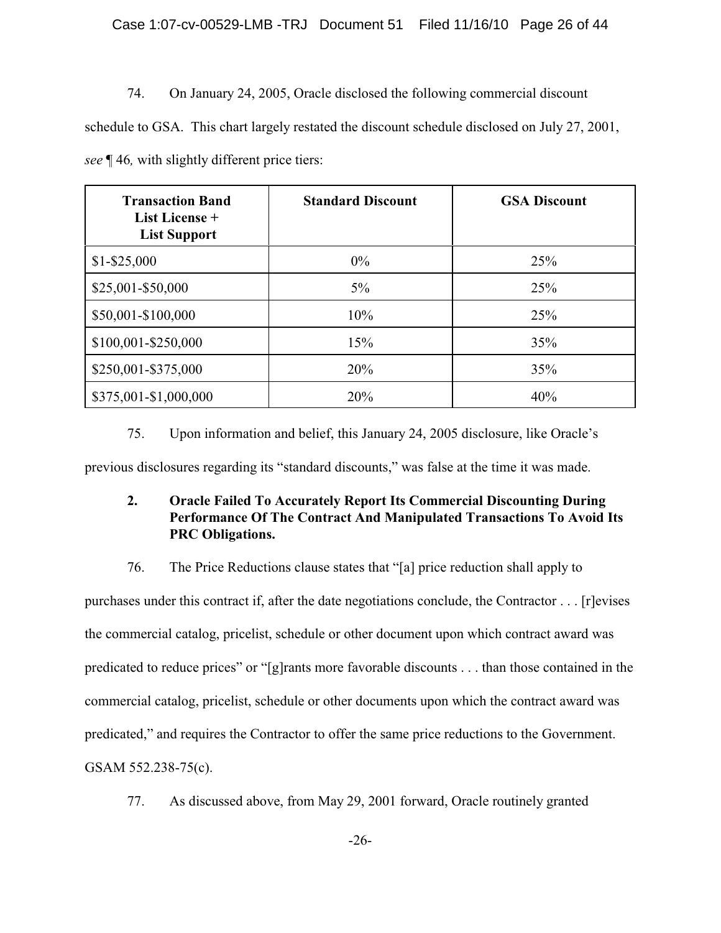# Case 1:07-cv-00529-LMB -TRJ Document 51 Filed 11/16/10 Page 26 of 44

## 74. On January 24, 2005, Oracle disclosed the following commercial discount

schedule to GSA. This chart largely restated the discount schedule disclosed on July 27, 2001, *see* ¶ 46*,* with slightly different price tiers:

| <b>Transaction Band</b><br>List License +<br><b>List Support</b> | <b>Standard Discount</b> | <b>GSA Discount</b> |
|------------------------------------------------------------------|--------------------------|---------------------|
| $$1 - $25,000$                                                   | $0\%$                    | 25%                 |
| \$25,001-\$50,000                                                | $5\%$                    | 25%                 |
| \$50,001-\$100,000                                               | 10%                      | 25%                 |
| \$100,001-\$250,000                                              | 15%                      | 35%                 |
| \$250,001-\$375,000                                              | 20%                      | 35%                 |
| \$375,001-\$1,000,000                                            | 20%                      | 40%                 |

# 75. Upon information and belief, this January 24, 2005 disclosure, like Oracle's

previous disclosures regarding its "standard discounts," was false at the time it was made.

# **2. Oracle Failed To Accurately Report Its Commercial Discounting During Performance Of The Contract And Manipulated Transactions To Avoid Its PRC Obligations.**

# 76. The Price Reductions clause states that "[a] price reduction shall apply to

purchases under this contract if, after the date negotiations conclude, the Contractor . . . [r]evises the commercial catalog, pricelist, schedule or other document upon which contract award was predicated to reduce prices" or "[g]rants more favorable discounts . . . than those contained in the commercial catalog, pricelist, schedule or other documents upon which the contract award was predicated," and requires the Contractor to offer the same price reductions to the Government. GSAM 552.238-75(c).

77. As discussed above, from May 29, 2001 forward, Oracle routinely granted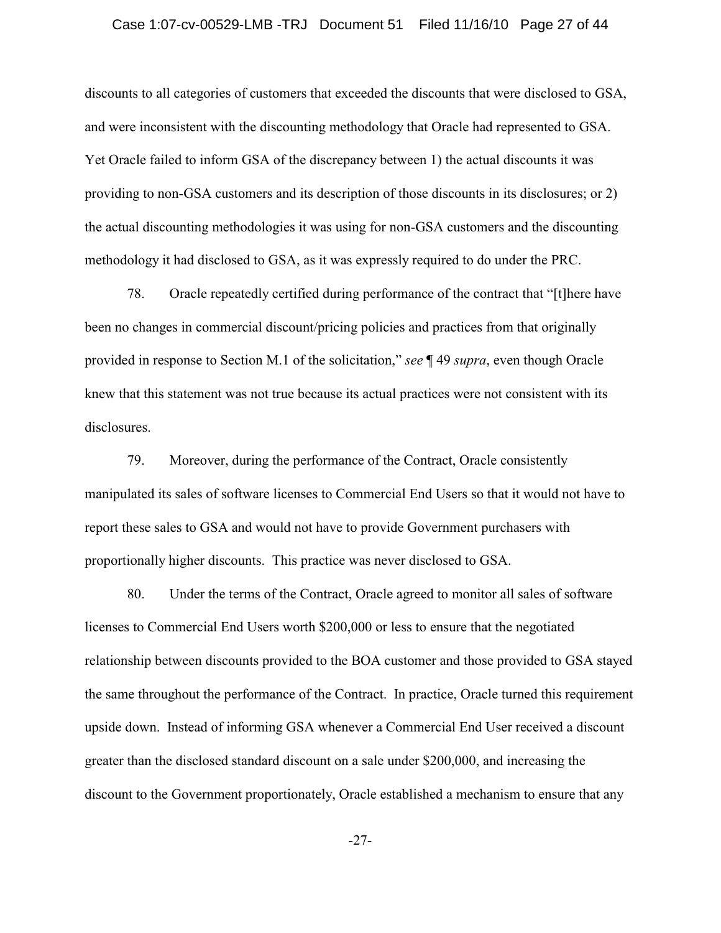### Case 1:07-cv-00529-LMB -TRJ Document 51 Filed 11/16/10 Page 27 of 44

discounts to all categories of customers that exceeded the discounts that were disclosed to GSA, and were inconsistent with the discounting methodology that Oracle had represented to GSA. Yet Oracle failed to inform GSA of the discrepancy between 1) the actual discounts it was providing to non-GSA customers and its description of those discounts in its disclosures; or 2) the actual discounting methodologies it was using for non-GSA customers and the discounting methodology it had disclosed to GSA, as it was expressly required to do under the PRC.

78. Oracle repeatedly certified during performance of the contract that "[t]here have been no changes in commercial discount/pricing policies and practices from that originally provided in response to Section M.1 of the solicitation," *see* ¶ 49 *supra*, even though Oracle knew that this statement was not true because its actual practices were not consistent with its disclosures.

79. Moreover, during the performance of the Contract, Oracle consistently manipulated its sales of software licenses to Commercial End Users so that it would not have to report these sales to GSA and would not have to provide Government purchasers with proportionally higher discounts. This practice was never disclosed to GSA.

80. Under the terms of the Contract, Oracle agreed to monitor all sales of software licenses to Commercial End Users worth \$200,000 or less to ensure that the negotiated relationship between discounts provided to the BOA customer and those provided to GSA stayed the same throughout the performance of the Contract. In practice, Oracle turned this requirement upside down. Instead of informing GSA whenever a Commercial End User received a discount greater than the disclosed standard discount on a sale under \$200,000, and increasing the discount to the Government proportionately, Oracle established a mechanism to ensure that any

-27-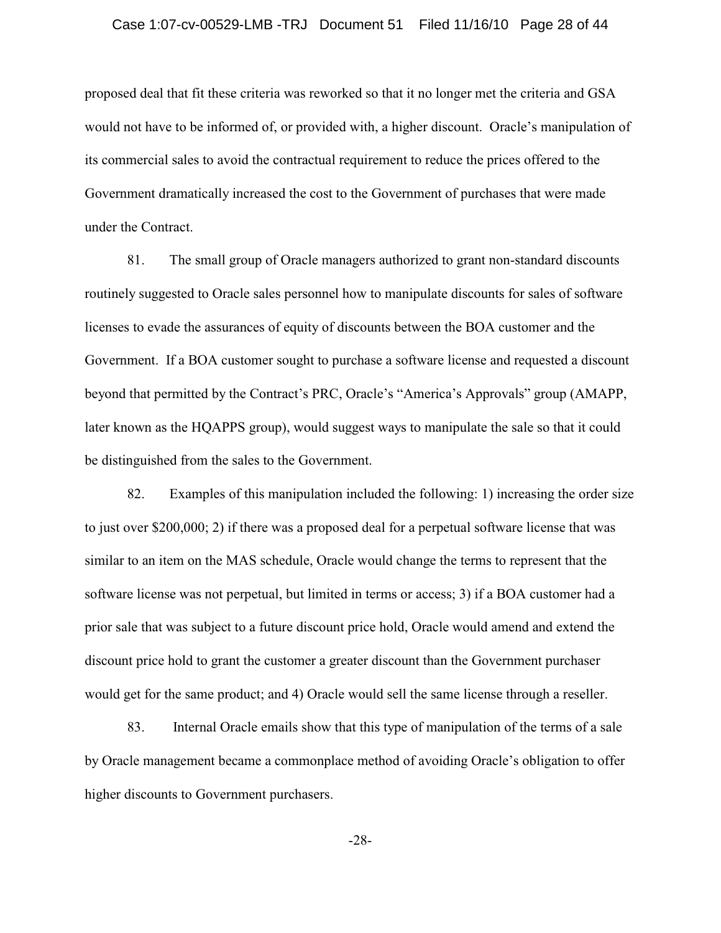### Case 1:07-cv-00529-LMB -TRJ Document 51 Filed 11/16/10 Page 28 of 44

proposed deal that fit these criteria was reworked so that it no longer met the criteria and GSA would not have to be informed of, or provided with, a higher discount. Oracle's manipulation of its commercial sales to avoid the contractual requirement to reduce the prices offered to the Government dramatically increased the cost to the Government of purchases that were made under the Contract.

81. The small group of Oracle managers authorized to grant non-standard discounts routinely suggested to Oracle sales personnel how to manipulate discounts for sales of software licenses to evade the assurances of equity of discounts between the BOA customer and the Government. If a BOA customer sought to purchase a software license and requested a discount beyond that permitted by the Contract's PRC, Oracle's "America's Approvals" group (AMAPP, later known as the HQAPPS group), would suggest ways to manipulate the sale so that it could be distinguished from the sales to the Government.

82. Examples of this manipulation included the following: 1) increasing the order size to just over \$200,000; 2) if there was a proposed deal for a perpetual software license that was similar to an item on the MAS schedule, Oracle would change the terms to represent that the software license was not perpetual, but limited in terms or access; 3) if a BOA customer had a prior sale that was subject to a future discount price hold, Oracle would amend and extend the discount price hold to grant the customer a greater discount than the Government purchaser would get for the same product; and 4) Oracle would sell the same license through a reseller.

83. Internal Oracle emails show that this type of manipulation of the terms of a sale by Oracle management became a commonplace method of avoiding Oracle's obligation to offer higher discounts to Government purchasers.

-28-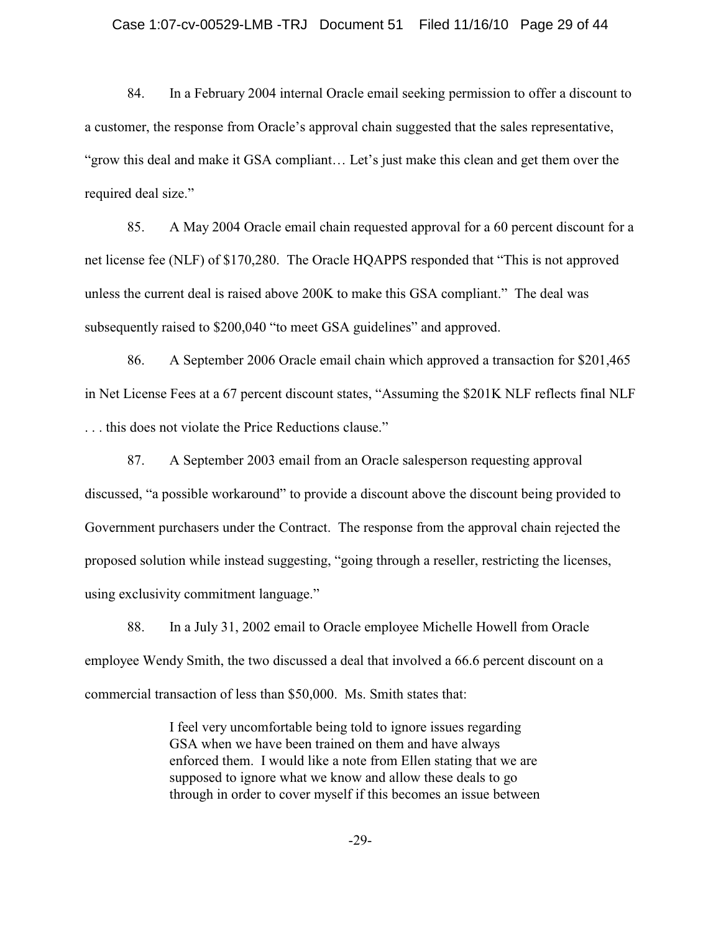### Case 1:07-cv-00529-LMB -TRJ Document 51 Filed 11/16/10 Page 29 of 44

84. In a February 2004 internal Oracle email seeking permission to offer a discount to a customer, the response from Oracle's approval chain suggested that the sales representative, "grow this deal and make it GSA compliant… Let's just make this clean and get them over the required deal size."

85. A May 2004 Oracle email chain requested approval for a 60 percent discount for a net license fee (NLF) of \$170,280. The Oracle HQAPPS responded that "This is not approved unless the current deal is raised above 200K to make this GSA compliant." The deal was subsequently raised to \$200,040 "to meet GSA guidelines" and approved.

86. A September 2006 Oracle email chain which approved a transaction for \$201,465 in Net License Fees at a 67 percent discount states, "Assuming the \$201K NLF reflects final NLF . . . this does not violate the Price Reductions clause."

87. A September 2003 email from an Oracle salesperson requesting approval discussed, "a possible workaround" to provide a discount above the discount being provided to Government purchasers under the Contract. The response from the approval chain rejected the proposed solution while instead suggesting, "going through a reseller, restricting the licenses, using exclusivity commitment language."

88. In a July 31, 2002 email to Oracle employee Michelle Howell from Oracle employee Wendy Smith, the two discussed a deal that involved a 66.6 percent discount on a commercial transaction of less than \$50,000. Ms. Smith states that:

> I feel very uncomfortable being told to ignore issues regarding GSA when we have been trained on them and have always enforced them. I would like a note from Ellen stating that we are supposed to ignore what we know and allow these deals to go through in order to cover myself if this becomes an issue between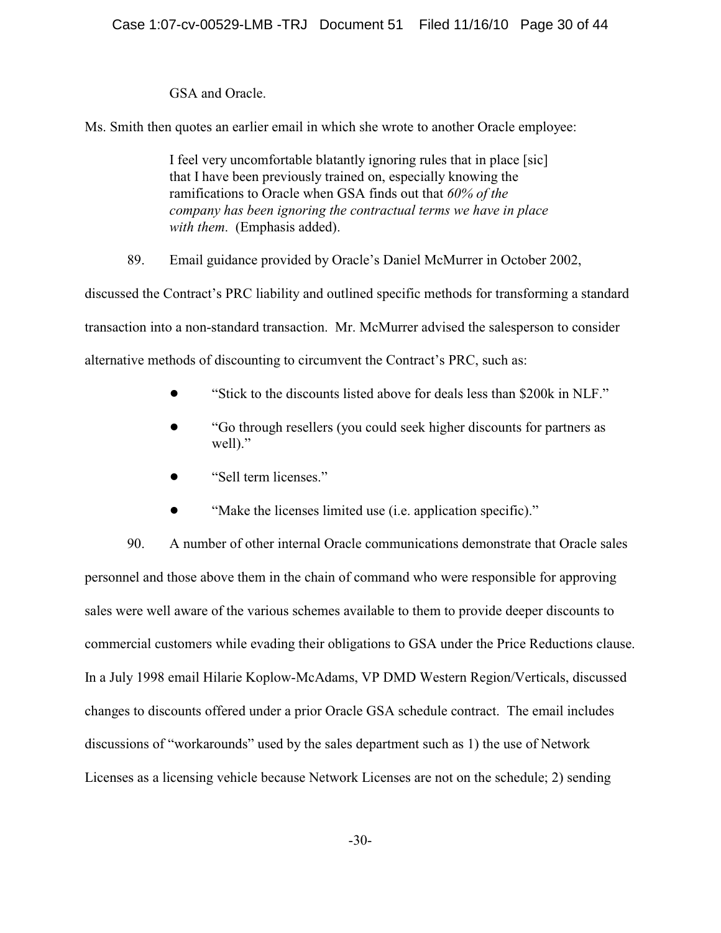GSA and Oracle.

Ms. Smith then quotes an earlier email in which she wrote to another Oracle employee:

I feel very uncomfortable blatantly ignoring rules that in place [sic] that I have been previously trained on, especially knowing the ramifications to Oracle when GSA finds out that *60% of the company has been ignoring the contractual terms we have in place with them*. (Emphasis added).

89. Email guidance provided by Oracle's Daniel McMurrer in October 2002,

discussed the Contract's PRC liability and outlined specific methods for transforming a standard transaction into a non-standard transaction. Mr. McMurrer advised the salesperson to consider alternative methods of discounting to circumvent the Contract's PRC, such as:

- ! "Stick to the discounts listed above for deals less than \$200k in NLF."
- ! "Go through resellers (you could seek higher discounts for partners as well)."
- "Sell term licenses."
- "Make the licenses limited use (i.e. application specific)."

90. A number of other internal Oracle communications demonstrate that Oracle sales personnel and those above them in the chain of command who were responsible for approving sales were well aware of the various schemes available to them to provide deeper discounts to commercial customers while evading their obligations to GSA under the Price Reductions clause. In a July 1998 email Hilarie Koplow-McAdams, VP DMD Western Region/Verticals, discussed changes to discounts offered under a prior Oracle GSA schedule contract. The email includes discussions of "workarounds" used by the sales department such as 1) the use of Network Licenses as a licensing vehicle because Network Licenses are not on the schedule; 2) sending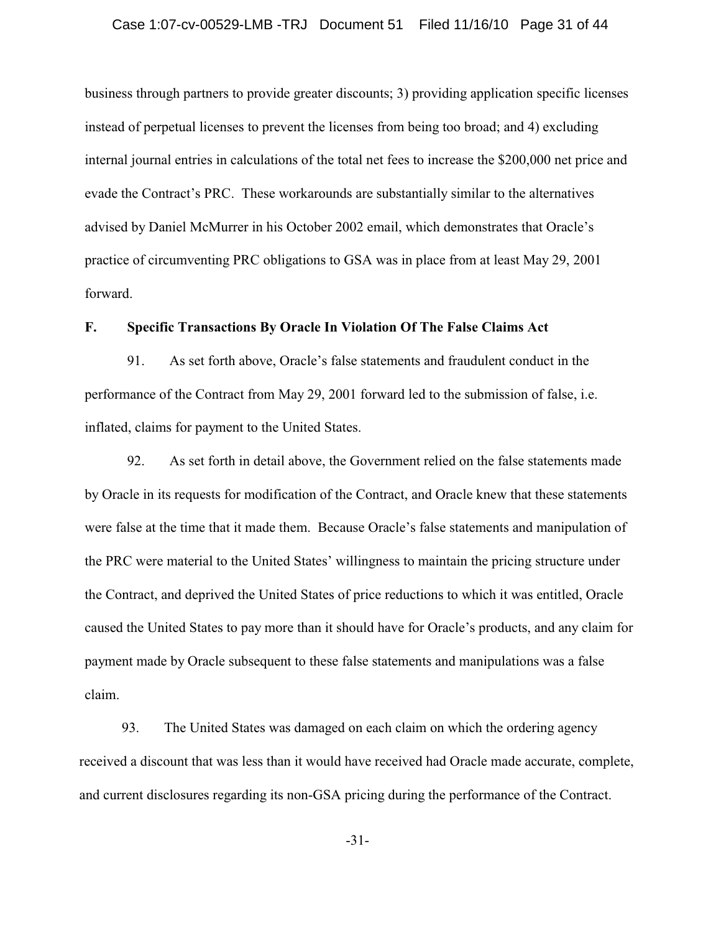### Case 1:07-cv-00529-LMB -TRJ Document 51 Filed 11/16/10 Page 31 of 44

business through partners to provide greater discounts; 3) providing application specific licenses instead of perpetual licenses to prevent the licenses from being too broad; and 4) excluding internal journal entries in calculations of the total net fees to increase the \$200,000 net price and evade the Contract's PRC. These workarounds are substantially similar to the alternatives advised by Daniel McMurrer in his October 2002 email, which demonstrates that Oracle's practice of circumventing PRC obligations to GSA was in place from at least May 29, 2001 forward.

## **F. Specific Transactions By Oracle In Violation Of The False Claims Act**

91. As set forth above, Oracle's false statements and fraudulent conduct in the performance of the Contract from May 29, 2001 forward led to the submission of false, i.e. inflated, claims for payment to the United States.

92. As set forth in detail above, the Government relied on the false statements made by Oracle in its requests for modification of the Contract, and Oracle knew that these statements were false at the time that it made them. Because Oracle's false statements and manipulation of the PRC were material to the United States' willingness to maintain the pricing structure under the Contract, and deprived the United States of price reductions to which it was entitled, Oracle caused the United States to pay more than it should have for Oracle's products, and any claim for payment made by Oracle subsequent to these false statements and manipulations was a false claim.

93. The United States was damaged on each claim on which the ordering agency received a discount that was less than it would have received had Oracle made accurate, complete, and current disclosures regarding its non-GSA pricing during the performance of the Contract.

-31-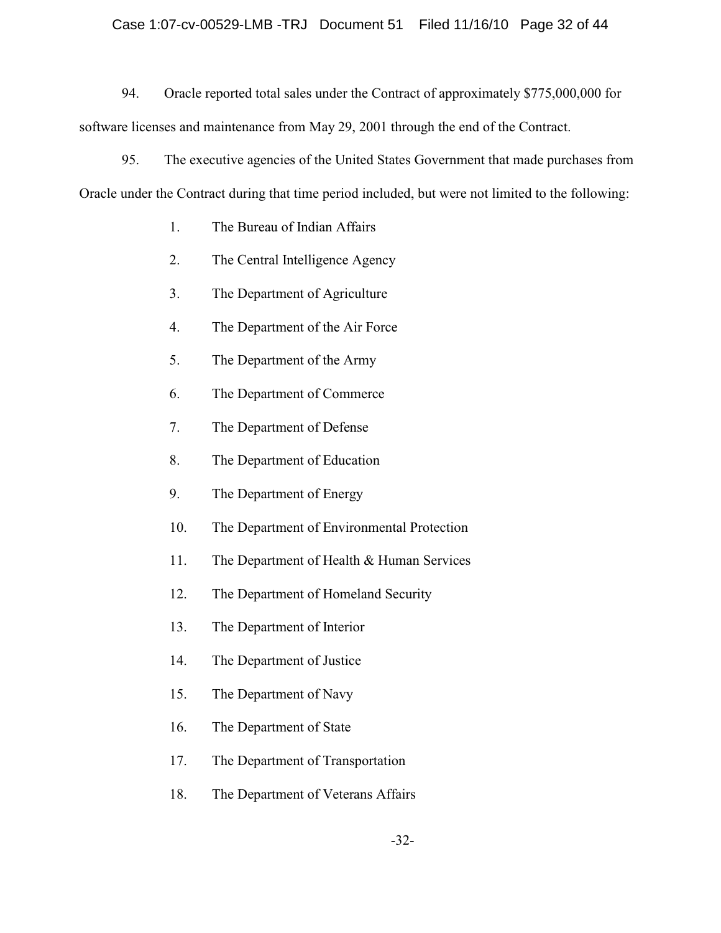## Case 1:07-cv-00529-LMB -TRJ Document 51 Filed 11/16/10 Page 32 of 44

94. Oracle reported total sales under the Contract of approximately \$775,000,000 for software licenses and maintenance from May 29, 2001 through the end of the Contract.

95. The executive agencies of the United States Government that made purchases from Oracle under the Contract during that time period included, but were not limited to the following:

- 1. The Bureau of Indian Affairs
- 2. The Central Intelligence Agency
- 3. The Department of Agriculture
- 4. The Department of the Air Force
- 5. The Department of the Army
- 6. The Department of Commerce
- 7. The Department of Defense
- 8. The Department of Education
- 9. The Department of Energy
- 10. The Department of Environmental Protection
- 11. The Department of Health & Human Services
- 12. The Department of Homeland Security
- 13. The Department of Interior
- 14. The Department of Justice
- 15. The Department of Navy
- 16. The Department of State
- 17. The Department of Transportation
- 18. The Department of Veterans Affairs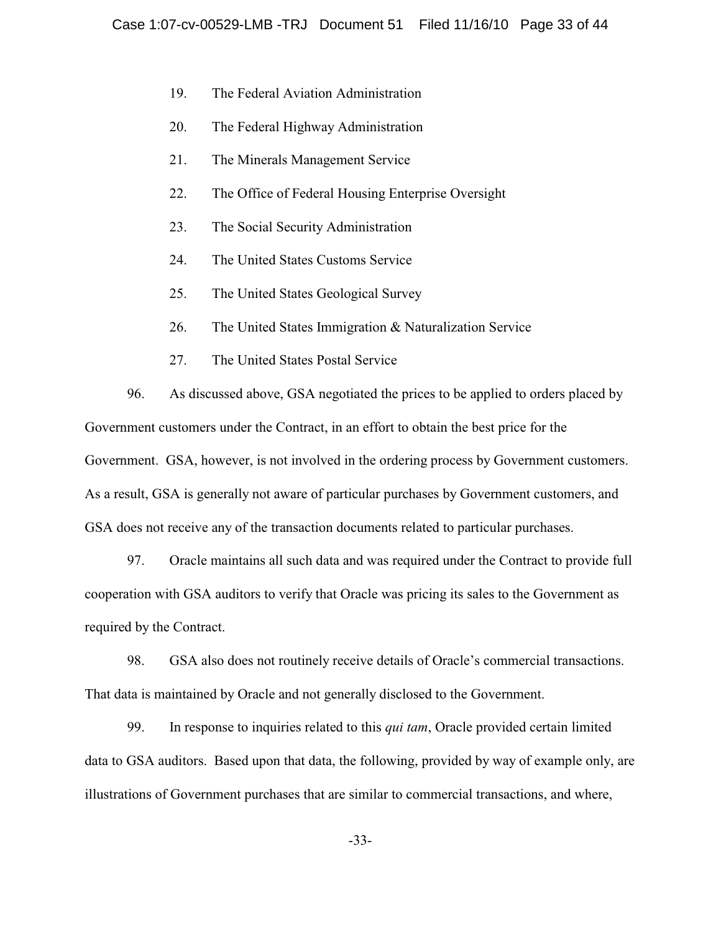- 19. The Federal Aviation Administration
- 20. The Federal Highway Administration
- 21. The Minerals Management Service
- 22. The Office of Federal Housing Enterprise Oversight
- 23. The Social Security Administration
- 24. The United States Customs Service
- 25. The United States Geological Survey
- 26. The United States Immigration & Naturalization Service
- 27. The United States Postal Service

96. As discussed above, GSA negotiated the prices to be applied to orders placed by Government customers under the Contract, in an effort to obtain the best price for the Government. GSA, however, is not involved in the ordering process by Government customers. As a result, GSA is generally not aware of particular purchases by Government customers, and GSA does not receive any of the transaction documents related to particular purchases.

97. Oracle maintains all such data and was required under the Contract to provide full cooperation with GSA auditors to verify that Oracle was pricing its sales to the Government as required by the Contract.

98. GSA also does not routinely receive details of Oracle's commercial transactions. That data is maintained by Oracle and not generally disclosed to the Government.

99. In response to inquiries related to this *qui tam*, Oracle provided certain limited data to GSA auditors. Based upon that data, the following, provided by way of example only, are illustrations of Government purchases that are similar to commercial transactions, and where,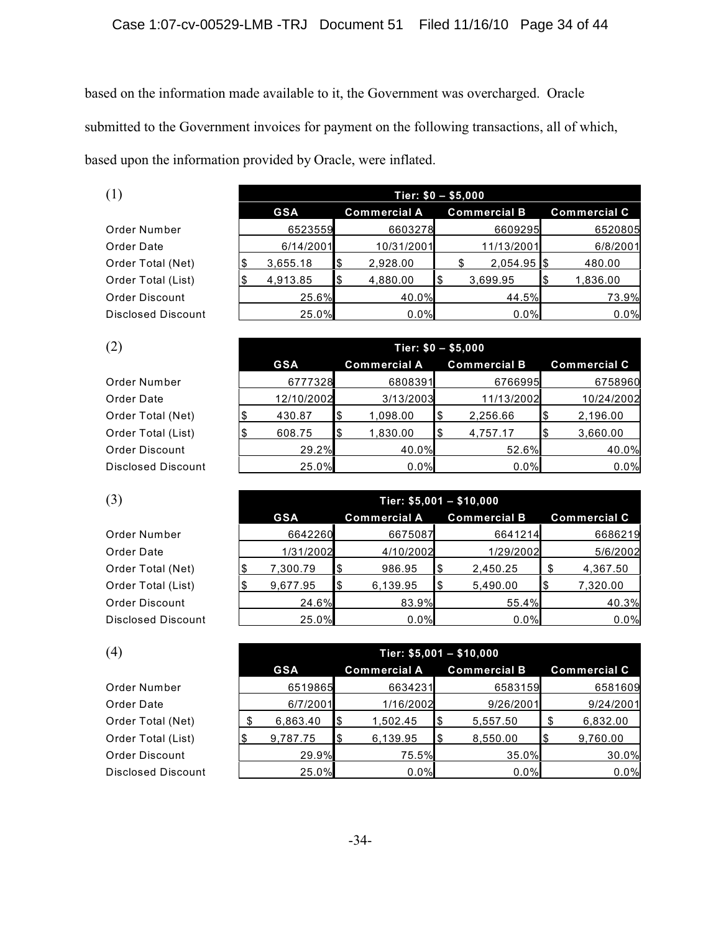based on the information made available to it, the Government was overcharged. Oracle submitted to the Government invoices for payment on the following transactions, all of which, based upon the information provided by Oracle, were inflated.

| Order Number              |
|---------------------------|
| Order Date                |
| Order Total (Net)         |
| Order Total (List)        |
| Order Discount            |
| <b>Disclosed Discount</b> |

| (1)                       | Tier: $$0 - $5,000$ |            |    |                     |     |                     |                     |
|---------------------------|---------------------|------------|----|---------------------|-----|---------------------|---------------------|
|                           |                     | <b>GSA</b> |    | <b>Commercial A</b> |     | <b>Commercial B</b> | <b>Commercial C</b> |
| Order Number              |                     | 6523559    |    | 6603278             |     | 6609295             | 6520805             |
| Order Date                |                     | 6/14/2001  |    | 10/31/2001          |     | 11/13/2001          | 6/8/2001            |
| Order Total (Net)         |                     | 3,655.18   | \$ | 2,928.00            |     | $2,054.95$ \$       | 480.00              |
| Order Total (List)        |                     | 4,913.85   | \$ | 4,880.00            | I\$ | 3,699.95            | 1,836.00            |
| Order Discount            |                     | 25.6%      |    | 40.0%               |     | 44.5%               | 73.9%               |
| <b>Disclosed Discount</b> |                     | 25.0%      |    | 0.0%                |     | 0.0%                | 0.0%                |

| (2)                       | Tier: $$0 - $5,000$ |     |                     |     |                     |  |                     |  |
|---------------------------|---------------------|-----|---------------------|-----|---------------------|--|---------------------|--|
|                           | <b>GSA</b>          |     | <b>Commercial A</b> |     | <b>Commercial B</b> |  | <b>Commercial C</b> |  |
| Order Number              | 6777328             |     | 6808391             |     | 6766995             |  | 6758960             |  |
| Order Date                | 12/10/2002          |     | 3/13/2003           |     | 11/13/2002          |  | 10/24/2002          |  |
| Order Total (Net)         | 430.87              | 1\$ | 1,098.00            | Ι\$ | 2,256.66            |  | 2,196.00            |  |
| Order Total (List)        | 608.75              | l\$ | 1,830.00            |     | 4,757.17            |  | 3,660.00            |  |
| Order Discount            | 29.2%               |     | 40.0%               |     | 52.6%               |  | 40.0%               |  |
| <b>Disclosed Discount</b> | 25.0%               |     | 0.0%                |     | 0.0%                |  | 0.0%                |  |

| (3)                       | Tier: $$5,001 - $10,000$ |            |      |                     |     |                     |  |                     |  |
|---------------------------|--------------------------|------------|------|---------------------|-----|---------------------|--|---------------------|--|
|                           |                          | <b>GSA</b> |      | <b>Commercial A</b> |     | <b>Commercial B</b> |  | <b>Commercial C</b> |  |
| Order Number              |                          | 6642260    |      | 6675087             |     | 6641214             |  | 6686219             |  |
| Order Date                |                          | 1/31/2002  |      | 4/10/2002           |     | 1/29/2002           |  | 5/6/2002            |  |
| Order Total (Net)         |                          | 7,300.79   | l \$ | 986.95              | 1\$ | 2,450.25            |  | 4,367.50            |  |
| Order Total (List)        |                          | 9,677.95   | ۱\$  | 6,139.95            | Ι\$ | 5,490.00            |  | 7,320.00            |  |
| Order Discount            |                          | 24.6%      |      | 83.9%               |     | 55.4%               |  | 40.3%               |  |
| <b>Disclosed Discount</b> |                          | 25.0%      |      | 0.0%                |     | 0.0%                |  | 0.0%                |  |

| (4)                       | Tier: $$5,001 - $10,000$ |            |     |                     |     |                     |    |                     |
|---------------------------|--------------------------|------------|-----|---------------------|-----|---------------------|----|---------------------|
|                           |                          | <b>GSA</b> |     | <b>Commercial A</b> |     | <b>Commercial B</b> |    | <b>Commercial C</b> |
| Order Number              |                          | 6519865    |     | 6634231             |     | 6583159             |    | 6581609             |
| Order Date                |                          | 6/7/2001   |     | 1/16/2002           |     | 9/26/2001           |    | 9/24/2001           |
| Order Total (Net)         |                          | 6,863.40   | ß.  | 1.502.45            | 1\$ | 5,557.50            | .S | 6,832.00            |
| Order Total (List)        |                          | 9,787.75   | 1\$ | 6,139.95            | l\$ | 8,550.00            |    | 9,760.00            |
| Order Discount            |                          | 29.9%      |     | 75.5%               |     | 35.0%               |    | 30.0%               |
| <b>Disclosed Discount</b> |                          | 25.0%      |     | 0.0%                |     | 0.0%                |    | 0.0%                |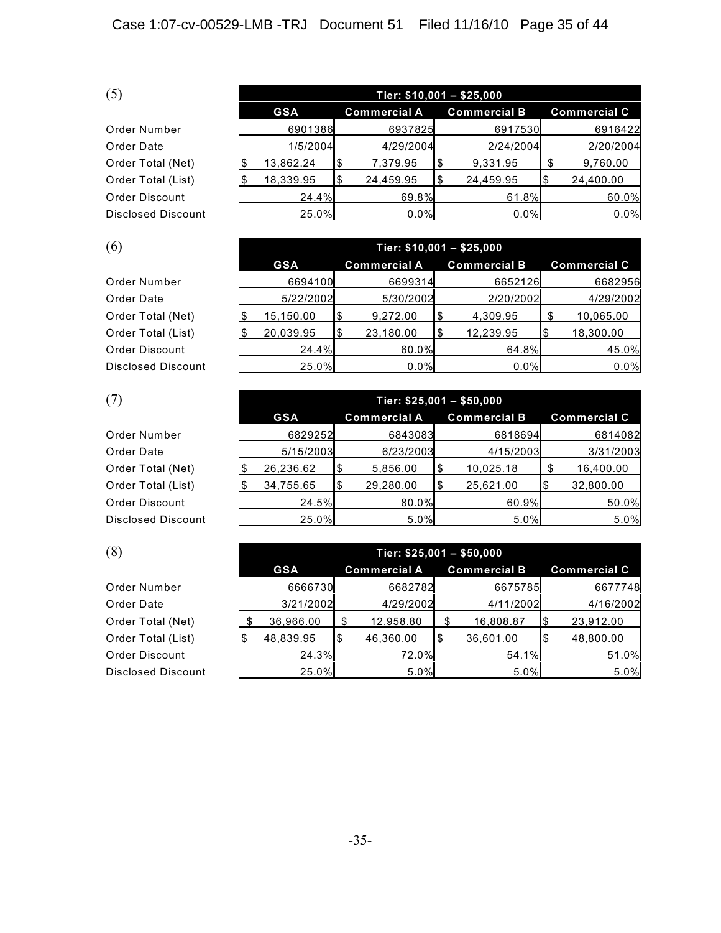| Order Number       |
|--------------------|
| Order Date         |
| Order Total (Net)  |
| Order Total (List) |
| Order Discount     |
| Disclosed Discoun  |

| (5)                       | Tier: $$10,001 - $25,000$ |     |                     |     |                     |    |                     |  |  |  |
|---------------------------|---------------------------|-----|---------------------|-----|---------------------|----|---------------------|--|--|--|
|                           | <b>GSA</b>                |     | <b>Commercial A</b> |     | <b>Commercial B</b> |    | <b>Commercial C</b> |  |  |  |
| Order Number              | 6901386                   |     | 6937825             |     | 6917530             |    | 6916422             |  |  |  |
| Order Date                | 1/5/2004                  |     | 4/29/2004           |     | 2/24/2004           |    | 2/20/2004           |  |  |  |
| Order Total (Net)         | 13,862.24                 | \$  | 7,379.95            | l\$ | 9,331.95            | £. | 9,760.00            |  |  |  |
| Order Total (List)        | 18,339.95                 | l\$ | 24,459.95           |     | 24,459.95           |    | 24,400.00           |  |  |  |
| Order Discount            | 24.4%                     |     | 69.8%               |     | 61.8%               |    | 60.0%               |  |  |  |
| <b>Disclosed Discount</b> | 25.0%                     |     | 0.0%                |     | 0.0%                |    | 0.0%                |  |  |  |

| (6)                       | Tier: $$10,001 - $25,000$ |     |                     |     |                     |  |                     |  |  |  |
|---------------------------|---------------------------|-----|---------------------|-----|---------------------|--|---------------------|--|--|--|
|                           | <b>GSA</b>                |     | <b>Commercial A</b> |     | <b>Commercial B</b> |  | <b>Commercial C</b> |  |  |  |
| Order Number              | 6694100                   |     | 6699314             |     | 6652126             |  | 6682956             |  |  |  |
| Order Date                | 5/22/2002                 |     | 5/30/2002           |     | 2/20/2002           |  | 4/29/2002           |  |  |  |
| Order Total (Net)         | 15,150.00                 | \$  | 9,272.00            |     | 4,309.95            |  | 10,065.00           |  |  |  |
| Order Total (List)        | 20,039.95                 | 1\$ | 23,180.00           | l\$ | 12,239.95           |  | 18,300.00           |  |  |  |
| Order Discount            | 24.4%                     |     | 60.0%               |     | 64.8%               |  | 45.0%               |  |  |  |
| <b>Disclosed Discount</b> | 25.0%                     |     | 0.0%                |     | 0.0%                |  | 0.0%                |  |  |  |

| (7)                       | Tier: $$25,001 - $50,000$ |     |                     |     |                     |  |                     |  |  |  |
|---------------------------|---------------------------|-----|---------------------|-----|---------------------|--|---------------------|--|--|--|
|                           | <b>GSA</b>                |     | <b>Commercial A</b> |     | <b>Commercial B</b> |  | <b>Commercial C</b> |  |  |  |
| Order Number              | 6829252                   |     | 6843083             |     | 6818694             |  | 6814082             |  |  |  |
| Order Date                | 5/15/2003                 |     | 6/23/2003           |     | 4/15/2003           |  | 3/31/2003           |  |  |  |
| Order Total (Net)         | 26,236.62                 | 1\$ | 5,856.00            | l\$ | 10,025.18           |  | 16,400.00           |  |  |  |
| Order Total (List)        | 34,755.65                 |     | 29,280.00           | 1\$ | 25,621.00           |  | 32,800.00           |  |  |  |
| Order Discount            | 24.5%                     |     | 80.0%               |     | 60.9%               |  | 50.0%               |  |  |  |
| <b>Disclosed Discount</b> | 25.0%                     |     | 5.0%                |     | 5.0%                |  | 5.0%                |  |  |  |

| (8)                       |   | Tier: $$25,001 - $50,000$ |     |                     |     |                     |  |                     |  |  |
|---------------------------|---|---------------------------|-----|---------------------|-----|---------------------|--|---------------------|--|--|
|                           |   | <b>GSA</b>                |     | <b>Commercial A</b> |     | <b>Commercial B</b> |  | <b>Commercial C</b> |  |  |
| Order Number              |   | 6666730                   |     | 6682782             |     | 6675785             |  | 6677748             |  |  |
| Order Date                |   | 3/21/2002                 |     | 4/29/2002           |     | 4/11/2002           |  | 4/16/2002           |  |  |
| Order Total (Net)         | J | 36,966.00                 |     | 12,958.80           |     | 16,808.87           |  | 23,912.00           |  |  |
| Order Total (List)        |   | 48,839.95                 | l\$ | 46,360.00           | l\$ | 36,601.00           |  | 48,800.00           |  |  |
| Order Discount            |   | 24.3%                     |     | 72.0%               |     | 54.1%               |  | 51.0%               |  |  |
| <b>Disclosed Discount</b> |   | 25.0%                     |     | 5.0%                |     | 5.0%                |  | 5.0%                |  |  |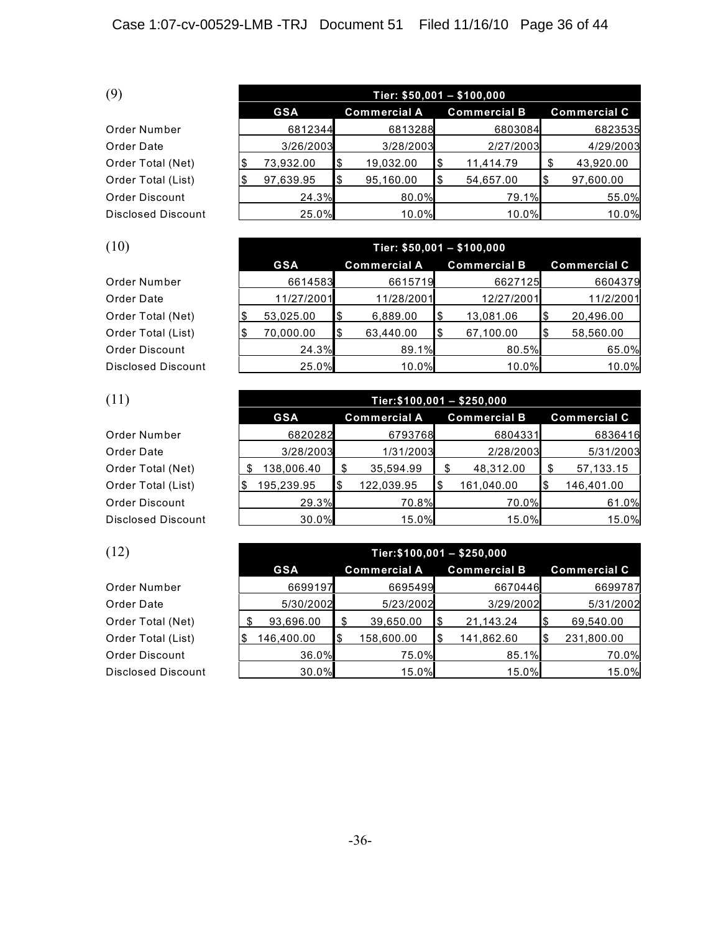| Order Number          |
|-----------------------|
| Order Date            |
| Order Total (Net)     |
| Order Total (List)    |
| <b>Order Discount</b> |
| Disclosed Discoun     |

| (9)                       | Tier: $$50,001 - $100,000$ |     |                     |     |                     |  |                     |  |  |  |
|---------------------------|----------------------------|-----|---------------------|-----|---------------------|--|---------------------|--|--|--|
|                           | <b>GSA</b>                 |     | <b>Commercial A</b> |     | <b>Commercial B</b> |  | <b>Commercial C</b> |  |  |  |
| Order Number              | 6812344                    |     | 6813288             |     | 6803084             |  | 6823535             |  |  |  |
| Order Date                | 3/26/2003                  |     | 3/28/2003           |     | 2/27/2003           |  | 4/29/2003           |  |  |  |
| Order Total (Net)         | 73,932.00                  |     | 19,032.00           |     | 11,414.79           |  | 43,920.00           |  |  |  |
| Order Total (List)        | 97,639.95                  | l\$ | 95,160.00           | l\$ | 54,657.00           |  | 97,600.00           |  |  |  |
| Order Discount            | 24.3%                      |     | 80.0%               |     | 79.1%               |  | 55.0%               |  |  |  |
| <b>Disclosed Discount</b> | 25.0%                      |     | 10.0%               |     | 10.0%               |  | 10.0%               |  |  |  |

| (10)                      | Tier: $$50,001 - $100,000$ |            |     |                     |     |                     |  |                     |  |
|---------------------------|----------------------------|------------|-----|---------------------|-----|---------------------|--|---------------------|--|
|                           |                            | <b>GSA</b> |     | <b>Commercial A</b> |     | <b>Commercial B</b> |  | <b>Commercial C</b> |  |
| Order Number              |                            | 6614583    |     | 6615719             |     | 6627125             |  | 6604379             |  |
| Order Date                |                            | 11/27/2001 |     | 11/28/2001          |     | 12/27/2001          |  | 11/2/2001           |  |
| Order Total (Net)         |                            | 53,025.00  | 1\$ | 6,889.00            | Ι\$ | 13,081.06           |  | 20,496.00           |  |
| Order Total (List)        |                            | 70,000.00  | I\$ | 63,440.00           | l\$ | 67,100.00           |  | 58,560.00           |  |
| Order Discount            |                            | 24.3%      |     | 89.1%               |     | 80.5%               |  | 65.0%               |  |
| <b>Disclosed Discount</b> |                            | 25.0%      |     | 10.0%               |     | 10.0%               |  | 10.0%               |  |

| (11)                      |            |                     |     |                     |                     |
|---------------------------|------------|---------------------|-----|---------------------|---------------------|
|                           | <b>GSA</b> | <b>Commercial A</b> |     | <b>Commercial B</b> | <b>Commercial C</b> |
| Order Number              | 6820282    | 6793768             |     | 6804331             | 6836416             |
| Order Date                | 3/28/2003  | 1/31/2003           |     | 2/28/2003           | 5/31/2003           |
| Order Total (Net)         | 138,006.40 | 35,594.99           |     | 48,312.00           | 57, 133. 15         |
| Order Total (List)        | 195,239.95 | 122,039.95          | 1\$ | 161,040.00          | 146,401.00          |
| Order Discount            | 29.3%      | 70.8%               |     | 70.0%               | 61.0%               |
| <b>Disclosed Discount</b> | 30.0%      | $15.0\%$            |     | 15.0%               | 15.0%               |

| (12)                      | Tier: $$100,001 - $250,000$ |     |                     |     |                     |  |                     |  |  |  |
|---------------------------|-----------------------------|-----|---------------------|-----|---------------------|--|---------------------|--|--|--|
|                           | <b>GSA</b>                  |     | <b>Commercial A</b> |     | <b>Commercial B</b> |  | <b>Commercial C</b> |  |  |  |
| Order Number              | 6699197                     |     | 6695499             |     | 6670446             |  | 6699787             |  |  |  |
| Order Date                | 5/30/2002                   |     | 5/23/2002           |     | 3/29/2002           |  | 5/31/2002           |  |  |  |
| Order Total (Net)         | 93,696.00                   |     | 39,650.00           | 1\$ | 21,143.24           |  | 69,540.00           |  |  |  |
| Order Total (List)        | 146,400.00                  | l\$ | 158,600.00          |     | 141,862.60          |  | 231,800.00          |  |  |  |
| Order Discount            | 36.0%                       |     | 75.0%               |     | 85.1%               |  | 70.0%               |  |  |  |
| <b>Disclosed Discount</b> | 30.0%                       |     | 15.0%               |     | 15.0%               |  | 15.0%               |  |  |  |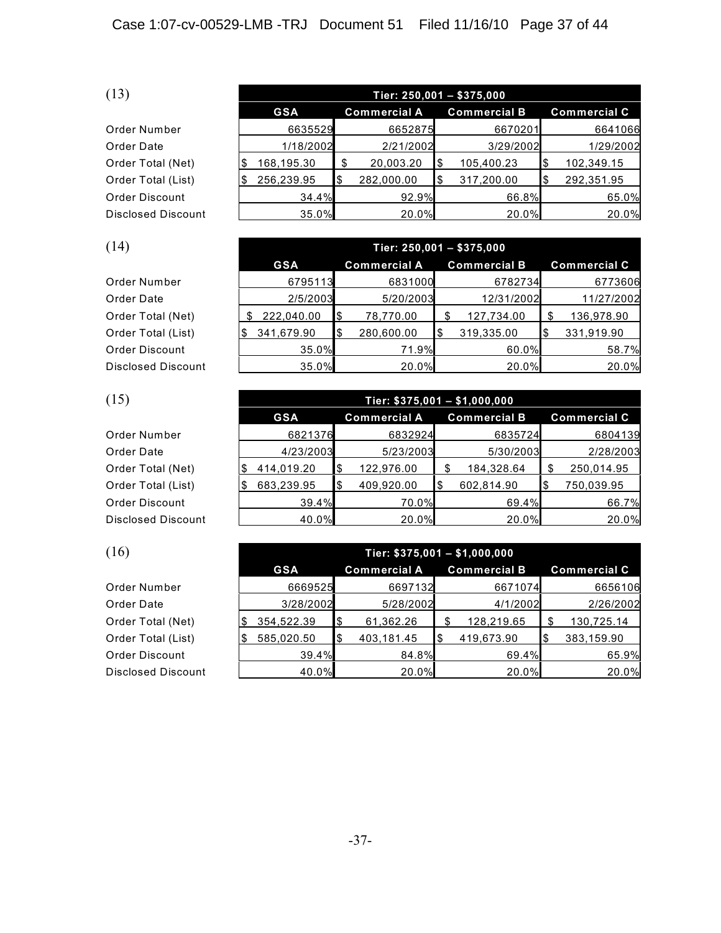| Order Number       |
|--------------------|
| Order Date         |
| Order Total (Net)  |
| Order Total (List) |
| Order Discount     |
| Disclosed Discoun  |

| (13)                      | Tier: $250,001 - $375,000$ |   |                     |  |                     |  |                     |  |  |  |
|---------------------------|----------------------------|---|---------------------|--|---------------------|--|---------------------|--|--|--|
|                           | <b>GSA</b>                 |   | <b>Commercial A</b> |  | <b>Commercial B</b> |  | <b>Commercial C</b> |  |  |  |
| Order Number              | 6635529                    |   | 6652875             |  | 6670201             |  | 6641066             |  |  |  |
| Order Date                | 1/18/2002                  |   | 2/21/2002           |  | 3/29/2002           |  | 1/29/2002           |  |  |  |
| Order Total (Net)         | 168,195.30                 |   | 20,003.20           |  | 105,400.23          |  | 102,349.15          |  |  |  |
| Order Total (List)        | 256,239.95                 | S | 282,000.00          |  | 317,200.00          |  | 292,351.95          |  |  |  |
| Order Discount            | 34.4%                      |   | 92.9%               |  | 66.8%               |  | 65.0%               |  |  |  |
| <b>Disclosed Discount</b> | 35.0%                      |   | 20.0%               |  | 20.0%               |  | 20.0%               |  |  |  |

| (14)                      |                 | Tier: 250,001 - \$375,000 |                     |     |                     |  |                     |
|---------------------------|-----------------|---------------------------|---------------------|-----|---------------------|--|---------------------|
|                           | <b>GSA</b>      |                           | <b>Commercial A</b> |     | <b>Commercial B</b> |  | <b>Commercial C</b> |
| Order Number              | 6795113         |                           | 6831000             |     | 6782734             |  | 6773606             |
| Order Date                | 2/5/2003        |                           | 5/20/2003           |     | 12/31/2002          |  | 11/27/2002          |
| Order Total (Net)         | 222,040.00<br>S | l\$                       | 78,770.00           |     | 127,734.00          |  | 136,978.90          |
| Order Total (List)        | 341,679.90      | 1\$                       | 280,600.00          | l\$ | 319,335.00          |  | 331,919.90          |
| Order Discount            | 35.0%           |                           | 71.9%               |     | 60.0%               |  | 58.7%               |
| <b>Disclosed Discount</b> | 35.0%           |                           | 20.0%               |     | 20.0%               |  | 20.0%               |

| (15)                      | Tier: $$375,001 - $1,000,000$ |  |                     |    |                     |  |                     |
|---------------------------|-------------------------------|--|---------------------|----|---------------------|--|---------------------|
|                           | <b>GSA</b>                    |  | <b>Commercial A</b> |    | <b>Commercial B</b> |  | <b>Commercial C</b> |
| Order Number              | 6821376                       |  | 6832924             |    | 6835724             |  | 6804139             |
| Order Date                | 4/23/2003                     |  | 5/23/2003           |    | 5/30/2003           |  | 2/28/2003           |
| Order Total (Net)         | 414,019.20                    |  | 122,976.00          |    | 184,328.64          |  | 250,014.95          |
| Order Total (List)        | 683,239.95                    |  | 409,920.00          | \$ | 602,814.90          |  | 750,039.95          |
| Order Discount            | 39.4%                         |  | 70.0%               |    | 69.4%               |  | 66.7%               |
| <b>Disclosed Discount</b> | 40.0%                         |  | 20.0%               |    | 20.0%               |  | 20.0%               |

| (16)               | Tier: $$375,001 - $1,000,000$ |     |                     |  |                     |  |                     |
|--------------------|-------------------------------|-----|---------------------|--|---------------------|--|---------------------|
|                    | <b>GSA</b>                    |     | <b>Commercial A</b> |  | <b>Commercial B</b> |  | <b>Commercial C</b> |
| Order Number       | 6669525                       |     | 6697132             |  | 6671074             |  | 6656106             |
| Order Date         | 3/28/2002                     |     | 5/28/2002           |  | 4/1/2002            |  | 2/26/2002           |
| Order Total (Net)  | 354,522.39                    | l\$ | 61,362.26           |  | 128,219.65          |  | 130,725.14          |
| Order Total (List) | 585,020.50                    | 1\$ | 403,181.45          |  | 419,673.90          |  | 383,159.90          |
| Order Discount     | 39.4%                         |     | 84.8%               |  | 69.4%               |  | 65.9%               |
| Disclosed Discount | 40.0%                         |     | 20.0%               |  | 20.0%               |  | 20.0%               |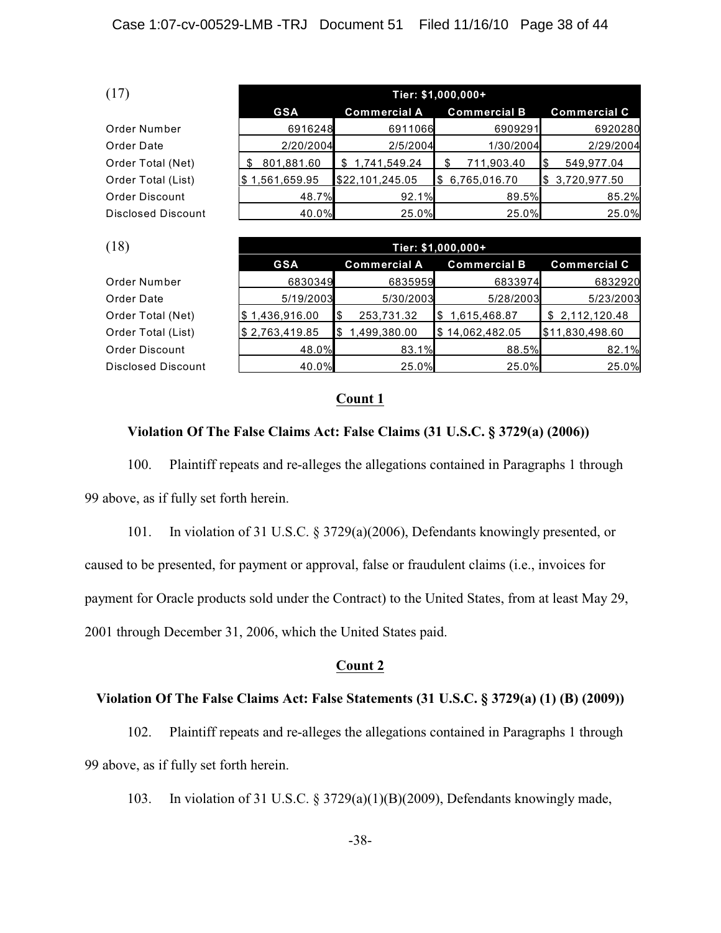| (17)               | Tier: \$1,000,000+ |                     |                     |                     |  |  |
|--------------------|--------------------|---------------------|---------------------|---------------------|--|--|
|                    | <b>GSA</b>         | <b>Commercial A</b> | <b>Commercial B</b> | <b>Commercial C</b> |  |  |
| Order Number       | 6916248            | 6911066             | 6909291             | 6920280             |  |  |
| Order Date         | 2/20/2004          | 2/5/2004            | 1/30/2004           | 2/29/2004           |  |  |
| Order Total (Net)  | 801,881.60         | 1,741,549.24        | 711,903.40          | 549,977.04          |  |  |
| Order Total (List) | \$1,561,659.95     | \$22,101,245.05     | 6,765,016.70<br>l\$ | \$3,720,977.50      |  |  |
| Order Discount     | 48.7%              | 92.1%               | 89.5%               | 85.2%               |  |  |
| Disclosed Discount | 40.0%              | 25.0%               | 25.0%               | 25.0%               |  |  |

| (18)                      |                | Tier: \$1,000,000+  |                     |                     |  |  |  |
|---------------------------|----------------|---------------------|---------------------|---------------------|--|--|--|
|                           | <b>GSA</b>     | <b>Commercial A</b> | <b>Commercial B</b> | <b>Commercial C</b> |  |  |  |
| Order Number              | 6830349        | 6835959             | 6833974             | 6832920             |  |  |  |
| Order Date                | 5/19/2003      | 5/30/2003           | 5/28/2003           | 5/23/2003           |  |  |  |
| Order Total (Net)         | \$1,436,916.00 | 253,731.32<br>1\$   | 1,615,468.87<br>I\$ | \$2,112,120.48      |  |  |  |
| Order Total (List)        | \$2,763,419.85 | 1,499,380.00<br>l\$ | \$14,062,482.05     | \$11,830,498.60     |  |  |  |
| Order Discount            | 48.0%          | 83.1%               | 88.5%               | 82.1%               |  |  |  |
| <b>Disclosed Discount</b> | 40.0%          | 25.0%               | 25.0%               | 25.0%               |  |  |  |

### **Count 1**

## **Violation Of The False Claims Act: False Claims (31 U.S.C. § 3729(a) (2006))**

100. Plaintiff repeats and re-alleges the allegations contained in Paragraphs 1 through 99 above, as if fully set forth herein.

101. In violation of 31 U.S.C. § 3729(a)(2006), Defendants knowingly presented, or caused to be presented, for payment or approval, false or fraudulent claims (i.e., invoices for payment for Oracle products sold under the Contract) to the United States, from at least May 29, 2001 through December 31, 2006, which the United States paid.

## **Count 2**

## **Violation Of The False Claims Act: False Statements (31 U.S.C. § 3729(a) (1) (B) (2009))**

102. Plaintiff repeats and re-alleges the allegations contained in Paragraphs 1 through 99 above, as if fully set forth herein.

103. In violation of 31 U.S.C. § 3729(a)(1)(B)(2009), Defendants knowingly made,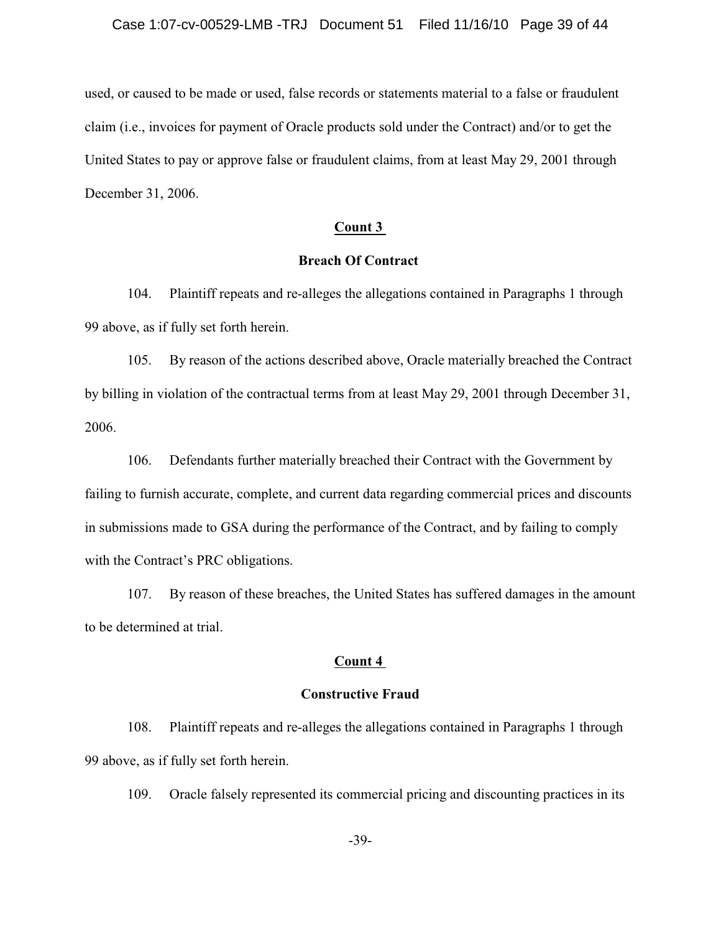used, or caused to be made or used, false records or statements material to a false or fraudulent claim (i.e., invoices for payment of Oracle products sold under the Contract) and/or to get the United States to pay or approve false or fraudulent claims, from at least May 29, 2001 through December 31, 2006.

## **Count 3**

## **Breach Of Contract**

104. Plaintiff repeats and re-alleges the allegations contained in Paragraphs 1 through 99 above, as if fully set forth herein.

105. By reason of the actions described above, Oracle materially breached the Contract by billing in violation of the contractual terms from at least May 29, 2001 through December 31, 2006.

106. Defendants further materially breached their Contract with the Government by failing to furnish accurate, complete, and current data regarding commercial prices and discounts in submissions made to GSA during the performance of the Contract, and by failing to comply with the Contract's PRC obligations.

107. By reason of these breaches, the United States has suffered damages in the amount to be determined at trial.

# **Count 4**

#### **Constructive Fraud**

108. Plaintiff repeats and re-alleges the allegations contained in Paragraphs 1 through 99 above, as if fully set forth herein.

109. Oracle falsely represented its commercial pricing and discounting practices in its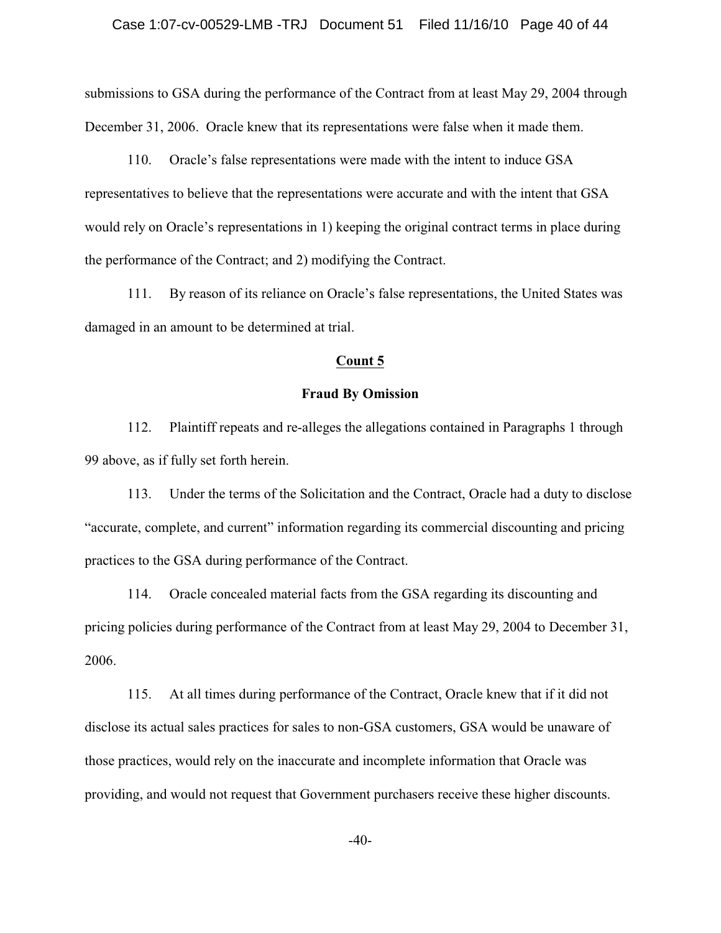submissions to GSA during the performance of the Contract from at least May 29, 2004 through December 31, 2006. Oracle knew that its representations were false when it made them.

110. Oracle's false representations were made with the intent to induce GSA representatives to believe that the representations were accurate and with the intent that GSA would rely on Oracle's representations in 1) keeping the original contract terms in place during the performance of the Contract; and 2) modifying the Contract.

111. By reason of its reliance on Oracle's false representations, the United States was damaged in an amount to be determined at trial.

### **Count 5**

### **Fraud By Omission**

112. Plaintiff repeats and re-alleges the allegations contained in Paragraphs 1 through 99 above, as if fully set forth herein.

113. Under the terms of the Solicitation and the Contract, Oracle had a duty to disclose "accurate, complete, and current" information regarding its commercial discounting and pricing practices to the GSA during performance of the Contract.

114. Oracle concealed material facts from the GSA regarding its discounting and pricing policies during performance of the Contract from at least May 29, 2004 to December 31, 2006.

115. At all times during performance of the Contract, Oracle knew that if it did not disclose its actual sales practices for sales to non-GSA customers, GSA would be unaware of those practices, would rely on the inaccurate and incomplete information that Oracle was providing, and would not request that Government purchasers receive these higher discounts.

-40-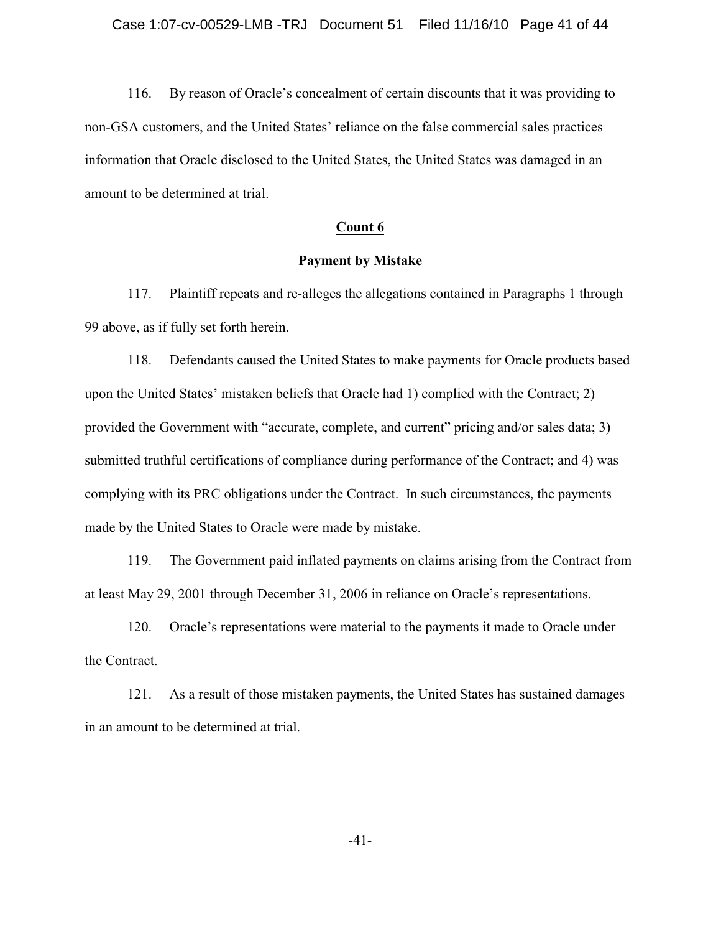116. By reason of Oracle's concealment of certain discounts that it was providing to non-GSA customers, and the United States' reliance on the false commercial sales practices information that Oracle disclosed to the United States, the United States was damaged in an amount to be determined at trial.

## **Count 6**

## **Payment by Mistake**

117. Plaintiff repeats and re-alleges the allegations contained in Paragraphs 1 through 99 above, as if fully set forth herein.

118. Defendants caused the United States to make payments for Oracle products based upon the United States' mistaken beliefs that Oracle had 1) complied with the Contract; 2) provided the Government with "accurate, complete, and current" pricing and/or sales data; 3) submitted truthful certifications of compliance during performance of the Contract; and 4) was complying with its PRC obligations under the Contract. In such circumstances, the payments made by the United States to Oracle were made by mistake.

119. The Government paid inflated payments on claims arising from the Contract from at least May 29, 2001 through December 31, 2006 in reliance on Oracle's representations.

120. Oracle's representations were material to the payments it made to Oracle under the Contract.

121. As a result of those mistaken payments, the United States has sustained damages in an amount to be determined at trial.

-41-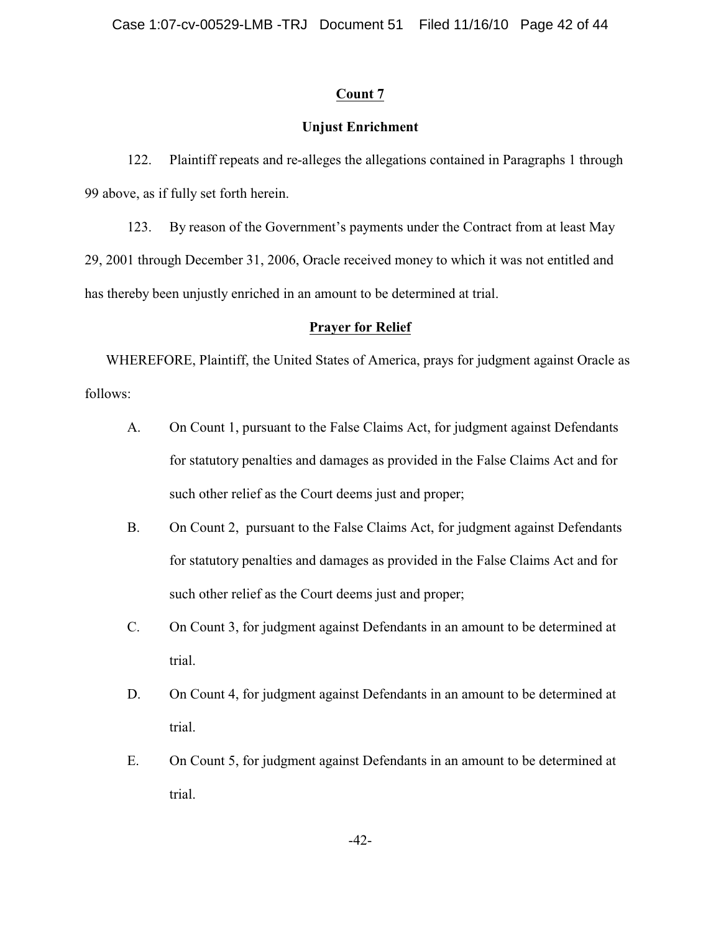# **Count 7**

# **Unjust Enrichment**

122. Plaintiff repeats and re-alleges the allegations contained in Paragraphs 1 through 99 above, as if fully set forth herein.

123. By reason of the Government's payments under the Contract from at least May 29, 2001 through December 31, 2006, Oracle received money to which it was not entitled and has thereby been unjustly enriched in an amount to be determined at trial.

## **Prayer for Relief**

WHEREFORE, Plaintiff, the United States of America, prays for judgment against Oracle as follows:

- A. On Count 1, pursuant to the False Claims Act, for judgment against Defendants for statutory penalties and damages as provided in the False Claims Act and for such other relief as the Court deems just and proper;
- B. On Count 2, pursuant to the False Claims Act, for judgment against Defendants for statutory penalties and damages as provided in the False Claims Act and for such other relief as the Court deems just and proper;
- C. On Count 3, for judgment against Defendants in an amount to be determined at trial.
- D. On Count 4, for judgment against Defendants in an amount to be determined at trial.
- E. On Count 5, for judgment against Defendants in an amount to be determined at trial.

-42-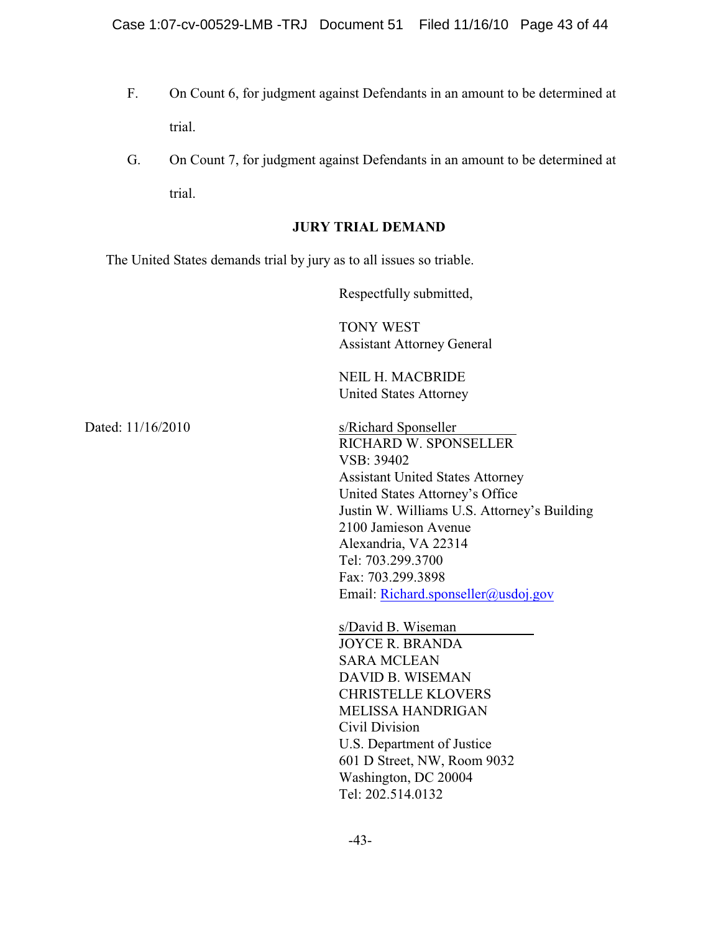- F. On Count 6, for judgment against Defendants in an amount to be determined at trial.
- G. On Count 7, for judgment against Defendants in an amount to be determined at trial.

## **JURY TRIAL DEMAND**

The United States demands trial by jury as to all issues so triable.

Respectfully submitted,

TONY WEST Assistant Attorney General

NEIL H. MACBRIDE United States Attorney

Dated: 11/16/2010 s/Richard Sponseller RICHARD W. SPONSELLER VSB: 39402 Assistant United States Attorney United States Attorney's Office Justin W. Williams U.S. Attorney's Building 2100 Jamieson Avenue Alexandria, VA 22314 Tel: 703.299.3700 Fax: 703.299.3898 Email: [Richard.sponseller@usdoj.gov](mailto:Richard.sponseller@usdoj.gov)

> s/David B. Wiseman JOYCE R. BRANDA SARA MCLEAN DAVID B. WISEMAN CHRISTELLE KLOVERS MELISSA HANDRIGAN Civil Division U.S. Department of Justice 601 D Street, NW, Room 9032 Washington, DC 20004 Tel: 202.514.0132